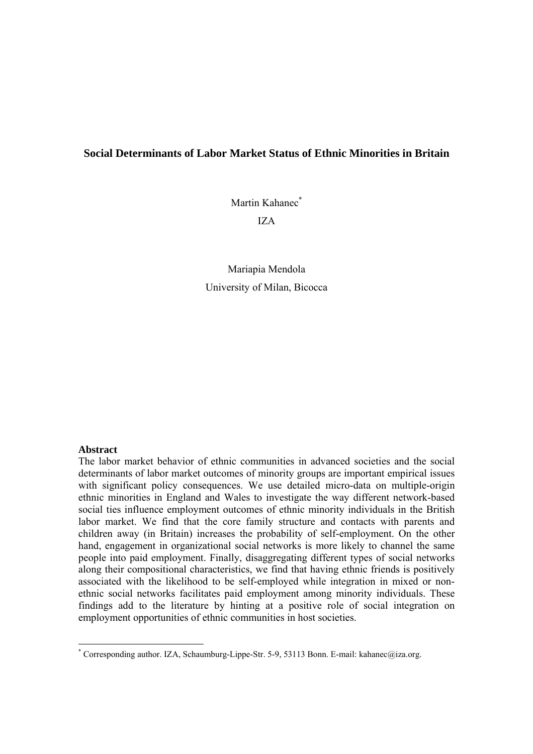### **Social Determinants of Labor Market Status of Ethnic Minorities in Britain**

Martin Kahanec<sup>\*</sup> IZA

Mariapia Mendola University of Milan, Bicocca

#### **Abstract**

The labor market behavior of ethnic communities in advanced societies and the social determinants of labor market outcomes of minority groups are important empirical issues with significant policy consequences. We use detailed micro-data on multiple-origin ethnic minorities in England and Wales to investigate the way different network-based social ties influence employment outcomes of ethnic minority individuals in the British labor market. We find that the core family structure and contacts with parents and children away (in Britain) increases the probability of self-employment. On the other hand, engagement in organizational social networks is more likely to channel the same people into paid employment. Finally, disaggregating different types of social networks along their compositional characteristics, we find that having ethnic friends is positively associated with the likelihood to be self-employed while integration in mixed or nonethnic social networks facilitates paid employment among minority individuals. These findings add to the literature by hinting at a positive role of social integration on employment opportunities of ethnic communities in host societies.

<sup>\*</sup> Corresponding author. IZA, Schaumburg-Lippe-Str. 5-9, 53113 Bonn. E-mail: kahanec@iza.org.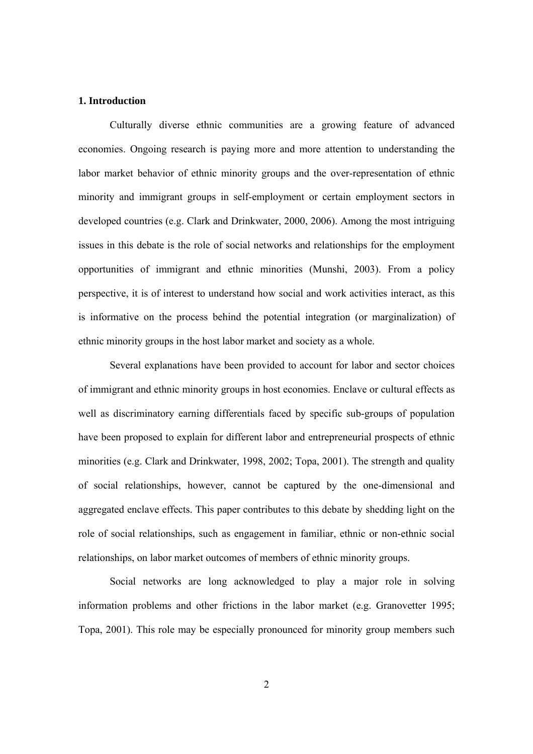#### **1. Introduction**

Culturally diverse ethnic communities are a growing feature of advanced economies. Ongoing research is paying more and more attention to understanding the labor market behavior of ethnic minority groups and the over-representation of ethnic minority and immigrant groups in self-employment or certain employment sectors in developed countries (e.g. Clark and Drinkwater, 2000, 2006). Among the most intriguing issues in this debate is the role of social networks and relationships for the employment opportunities of immigrant and ethnic minorities (Munshi, 2003). From a policy perspective, it is of interest to understand how social and work activities interact, as this is informative on the process behind the potential integration (or marginalization) of ethnic minority groups in the host labor market and society as a whole.

Several explanations have been provided to account for labor and sector choices of immigrant and ethnic minority groups in host economies. Enclave or cultural effects as well as discriminatory earning differentials faced by specific sub-groups of population have been proposed to explain for different labor and entrepreneurial prospects of ethnic minorities (e.g. Clark and Drinkwater, 1998, 2002; Topa, 2001). The strength and quality of social relationships, however, cannot be captured by the one-dimensional and aggregated enclave effects. This paper contributes to this debate by shedding light on the role of social relationships, such as engagement in familiar, ethnic or non-ethnic social relationships, on labor market outcomes of members of ethnic minority groups.

Social networks are long acknowledged to play a major role in solving information problems and other frictions in the labor market (e.g. Granovetter 1995; Topa, 2001). This role may be especially pronounced for minority group members such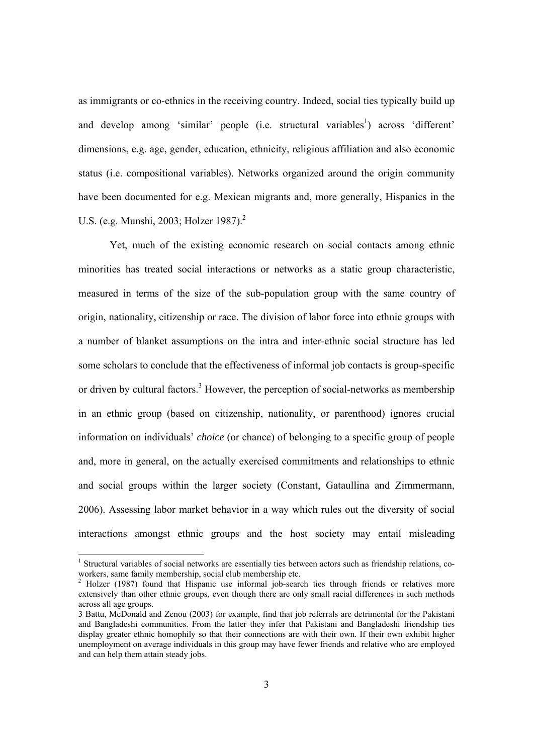as immigrants or co-ethnics in the receiving country. Indeed, social ties typically build up and develop among 'similar' people (i.e. structural variables<sup>1</sup>) across 'different' dimensions, e.g. age, gender, education, ethnicity, religious affiliation and also economic status (i.e. compositional variables). Networks organized around the origin community have been documented for e.g. Mexican migrants and, more generally, Hispanics in the U.S. (e.g. Munshi, 2003; Holzer 1987). $^{2}$ 

Yet, much of the existing economic research on social contacts among ethnic minorities has treated social interactions or networks as a static group characteristic, measured in terms of the size of the sub-population group with the same country of origin, nationality, citizenship or race. The division of labor force into ethnic groups with a number of blanket assumptions on the intra and inter-ethnic social structure has led some scholars to conclude that the effectiveness of informal job contacts is group-specific or driven by cultural factors.<sup>3</sup> However, the perception of social-networks as membership in an ethnic group (based on citizenship, nationality, or parenthood) ignores crucial information on individuals' *choice* (or chance) of belonging to a specific group of people and, more in general, on the actually exercised commitments and relationships to ethnic and social groups within the larger society (Constant, Gataullina and Zimmermann, 2006). Assessing labor market behavior in a way which rules out the diversity of social interactions amongst ethnic groups and the host society may entail misleading

<sup>&</sup>lt;sup>1</sup> Structural variables of social networks are essentially ties between actors such as friendship relations, coworkers, same family membership, social club membership etc.

<sup>2</sup> Holzer (1987) found that Hispanic use informal job-search ties through friends or relatives more extensively than other ethnic groups, even though there are only small racial differences in such methods across all age groups.

<sup>3</sup> Battu, McDonald and Zenou (2003) for example, find that job referrals are detrimental for the Pakistani and Bangladeshi communities. From the latter they infer that Pakistani and Bangladeshi friendship ties display greater ethnic homophily so that their connections are with their own. If their own exhibit higher unemployment on average individuals in this group may have fewer friends and relative who are employed and can help them attain steady jobs.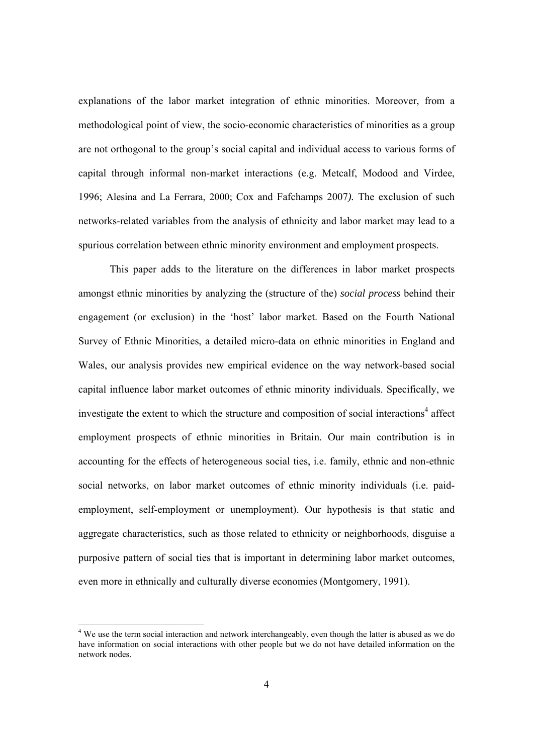explanations of the labor market integration of ethnic minorities. Moreover, from a methodological point of view, the socio-economic characteristics of minorities as a group are not orthogonal to the group's social capital and individual access to various forms of capital through informal non-market interactions (e.g. Metcalf, Modood and Virdee, 1996; Alesina and La Ferrara, 2000; Cox and Fafchamps 2007*).* The exclusion of such networks-related variables from the analysis of ethnicity and labor market may lead to a spurious correlation between ethnic minority environment and employment prospects.

This paper adds to the literature on the differences in labor market prospects amongst ethnic minorities by analyzing the (structure of the) *social process* behind their engagement (or exclusion) in the 'host' labor market. Based on the Fourth National Survey of Ethnic Minorities, a detailed micro-data on ethnic minorities in England and Wales, our analysis provides new empirical evidence on the way network-based social capital influence labor market outcomes of ethnic minority individuals. Specifically, we investigate the extent to which the structure and composition of social interactions<sup>4</sup> affect employment prospects of ethnic minorities in Britain. Our main contribution is in accounting for the effects of heterogeneous social ties, i.e. family, ethnic and non-ethnic social networks, on labor market outcomes of ethnic minority individuals (i.e. paidemployment, self-employment or unemployment). Our hypothesis is that static and aggregate characteristics, such as those related to ethnicity or neighborhoods, disguise a purposive pattern of social ties that is important in determining labor market outcomes, even more in ethnically and culturally diverse economies (Montgomery, 1991).

<sup>&</sup>lt;sup>4</sup> We use the term social interaction and network interchangeably, even though the latter is abused as we do have information on social interactions with other people but we do not have detailed information on the network nodes.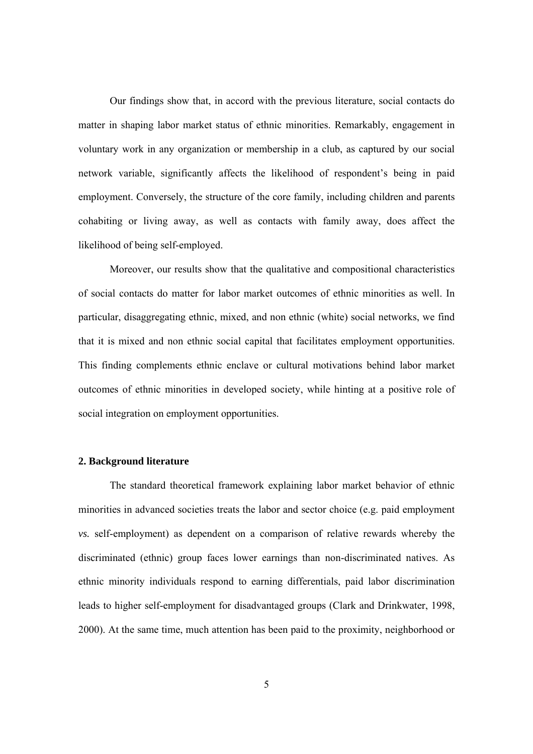Our findings show that, in accord with the previous literature, social contacts do matter in shaping labor market status of ethnic minorities. Remarkably, engagement in voluntary work in any organization or membership in a club, as captured by our social network variable, significantly affects the likelihood of respondent's being in paid employment. Conversely, the structure of the core family, including children and parents cohabiting or living away, as well as contacts with family away, does affect the likelihood of being self-employed.

Moreover, our results show that the qualitative and compositional characteristics of social contacts do matter for labor market outcomes of ethnic minorities as well. In particular, disaggregating ethnic, mixed, and non ethnic (white) social networks, we find that it is mixed and non ethnic social capital that facilitates employment opportunities. This finding complements ethnic enclave or cultural motivations behind labor market outcomes of ethnic minorities in developed society, while hinting at a positive role of social integration on employment opportunities.

#### **2. Background literature**

The standard theoretical framework explaining labor market behavior of ethnic minorities in advanced societies treats the labor and sector choice (e.g. paid employment *vs.* self-employment) as dependent on a comparison of relative rewards whereby the discriminated (ethnic) group faces lower earnings than non-discriminated natives. As ethnic minority individuals respond to earning differentials, paid labor discrimination leads to higher self-employment for disadvantaged groups (Clark and Drinkwater, 1998, 2000). At the same time, much attention has been paid to the proximity, neighborhood or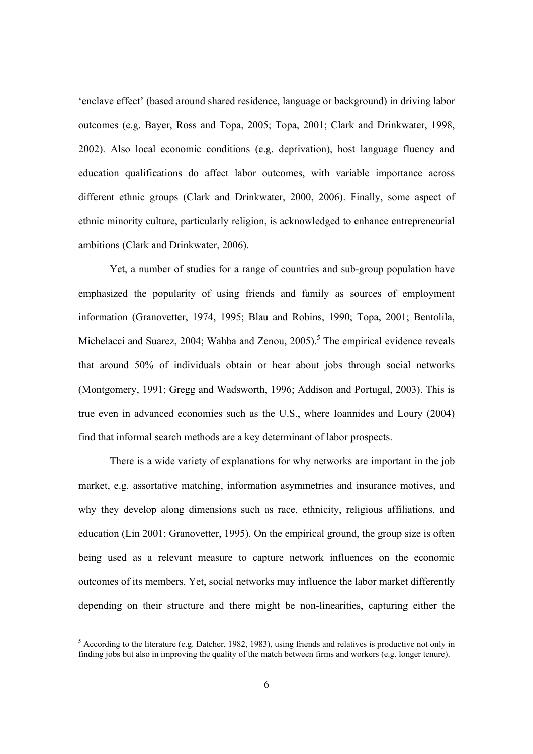'enclave effect' (based around shared residence, language or background) in driving labor outcomes (e.g. Bayer, Ross and Topa, 2005; Topa, 2001; Clark and Drinkwater, 1998, 2002). Also local economic conditions (e.g. deprivation), host language fluency and education qualifications do affect labor outcomes, with variable importance across different ethnic groups (Clark and Drinkwater, 2000, 2006). Finally, some aspect of ethnic minority culture, particularly religion, is acknowledged to enhance entrepreneurial ambitions (Clark and Drinkwater, 2006).

Yet, a number of studies for a range of countries and sub-group population have emphasized the popularity of using friends and family as sources of employment information (Granovetter, 1974, 1995; Blau and Robins, 1990; Topa, 2001; Bentolila, Michelacci and Suarez, 2004; Wahba and Zenou,  $2005$ ).<sup>5</sup> The empirical evidence reveals that around 50% of individuals obtain or hear about jobs through social networks (Montgomery, 1991; Gregg and Wadsworth, 1996; Addison and Portugal, 2003). This is true even in advanced economies such as the U.S., where Ioannides and Loury (2004) find that informal search methods are a key determinant of labor prospects.

There is a wide variety of explanations for why networks are important in the job market, e.g. assortative matching, information asymmetries and insurance motives, and why they develop along dimensions such as race, ethnicity, religious affiliations, and education (Lin 2001; Granovetter, 1995). On the empirical ground, the group size is often being used as a relevant measure to capture network influences on the economic outcomes of its members. Yet, social networks may influence the labor market differently depending on their structure and there might be non-linearities, capturing either the

<sup>&</sup>lt;sup>5</sup> According to the literature (e.g. Datcher, 1982, 1983), using friends and relatives is productive not only in finding jobs but also in improving the quality of the match between firms and workers (e.g. longer tenure).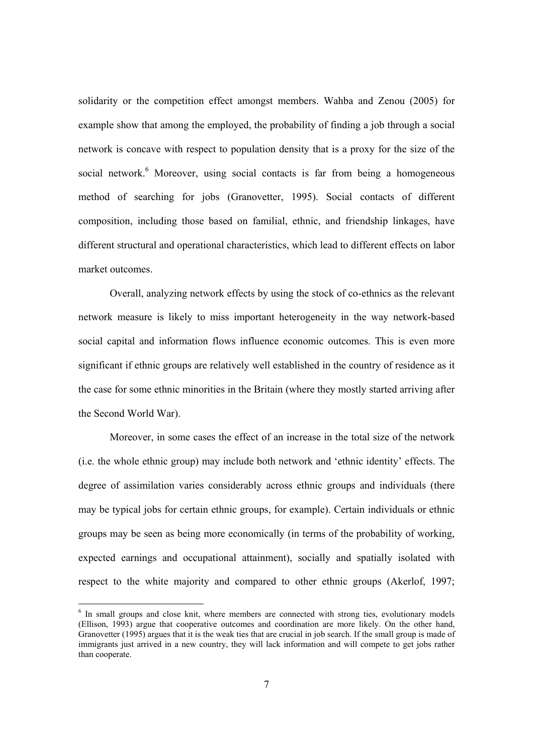solidarity or the competition effect amongst members. Wahba and Zenou (2005) for example show that among the employed, the probability of finding a job through a social network is concave with respect to population density that is a proxy for the size of the social network.<sup>6</sup> Moreover, using social contacts is far from being a homogeneous method of searching for jobs (Granovetter, 1995). Social contacts of different composition, including those based on familial, ethnic, and friendship linkages, have different structural and operational characteristics, which lead to different effects on labor market outcomes.

Overall, analyzing network effects by using the stock of co-ethnics as the relevant network measure is likely to miss important heterogeneity in the way network-based social capital and information flows influence economic outcomes. This is even more significant if ethnic groups are relatively well established in the country of residence as it the case for some ethnic minorities in the Britain (where they mostly started arriving after the Second World War).

Moreover, in some cases the effect of an increase in the total size of the network (i.e. the whole ethnic group) may include both network and 'ethnic identity' effects. The degree of assimilation varies considerably across ethnic groups and individuals (there may be typical jobs for certain ethnic groups, for example). Certain individuals or ethnic groups may be seen as being more economically (in terms of the probability of working, expected earnings and occupational attainment), socially and spatially isolated with respect to the white majority and compared to other ethnic groups (Akerlof, 1997;

 $\overline{a}$ 

<sup>&</sup>lt;sup>6</sup> In small groups and close knit, where members are connected with strong ties, evolutionary models (Ellison, 1993) argue that cooperative outcomes and coordination are more likely. On the other hand, Granovetter (1995) argues that it is the weak ties that are crucial in job search. If the small group is made of immigrants just arrived in a new country, they will lack information and will compete to get jobs rather than cooperate.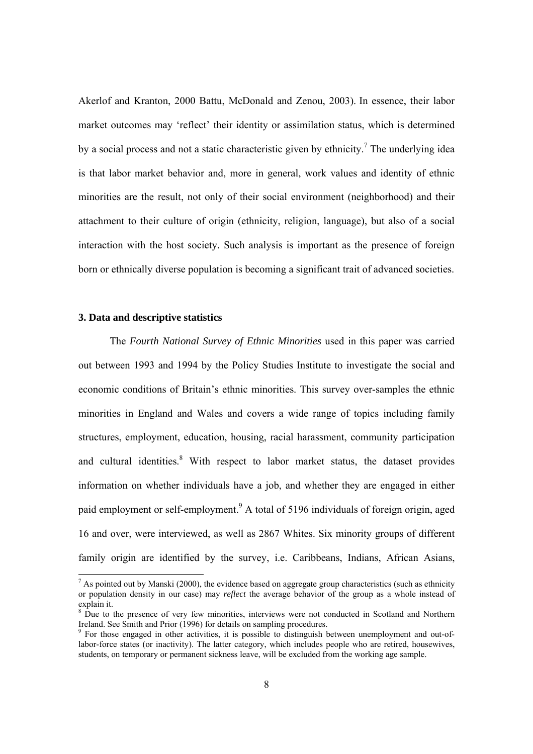Akerlof and Kranton, 2000 Battu, McDonald and Zenou, 2003). In essence, their labor market outcomes may 'reflect' their identity or assimilation status, which is determined by a social process and not a static characteristic given by ethnicity.<sup>7</sup> The underlying idea is that labor market behavior and, more in general, work values and identity of ethnic minorities are the result, not only of their social environment (neighborhood) and their attachment to their culture of origin (ethnicity, religion, language), but also of a social interaction with the host society*.* Such analysis is important as the presence of foreign born or ethnically diverse population is becoming a significant trait of advanced societies.

#### **3. Data and descriptive statistics**

The *Fourth National Survey of Ethnic Minorities* used in this paper was carried out between 1993 and 1994 by the Policy Studies Institute to investigate the social and economic conditions of Britain's ethnic minorities. This survey over-samples the ethnic minorities in England and Wales and covers a wide range of topics including family structures, employment, education, housing, racial harassment, community participation and cultural identities.<sup>8</sup> With respect to labor market status, the dataset provides information on whether individuals have a job, and whether they are engaged in either paid employment or self-employment.<sup>9</sup> A total of 5196 individuals of foreign origin, aged 16 and over, were interviewed, as well as 2867 Whites. Six minority groups of different family origin are identified by the survey, i.e. Caribbeans, Indians, African Asians,

 $<sup>7</sup>$  As pointed out by Manski (2000), the evidence based on aggregate group characteristics (such as ethnicity</sup> or population density in our case) may *reflect* the average behavior of the group as a whole instead of explain it.

<sup>8</sup> Due to the presence of very few minorities, interviews were not conducted in Scotland and Northern Ireland. See Smith and Prior (1996) for details on sampling procedures.

<sup>&</sup>lt;sup>9</sup> For those engaged in other activities, it is possible to distinguish between unemployment and out-oflabor-force states (or inactivity). The latter category, which includes people who are retired, housewives, students, on temporary or permanent sickness leave, will be excluded from the working age sample.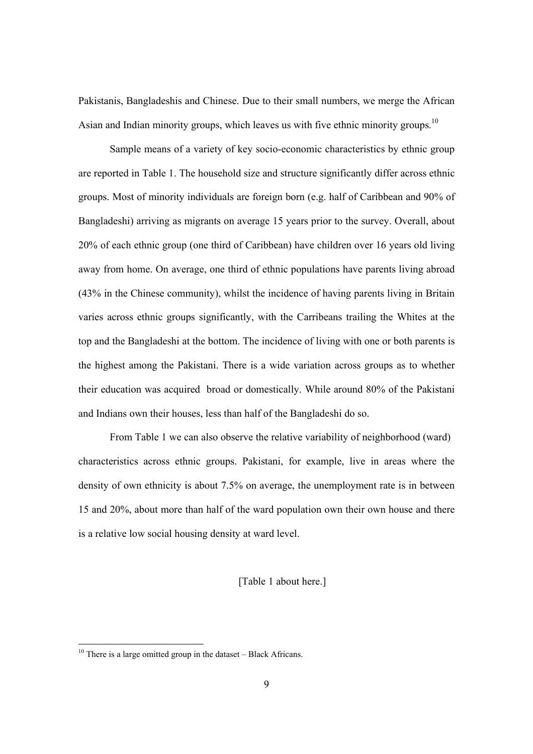Pakistanis, Bangladeshis and Chinese. Due to their small numbers, we merge the African Asian and Indian minority groups, which leaves us with five ethnic minority groups.<sup>10</sup>

Sample means of a variety of key socio-economic characteristics by ethnic group are reported in Table 1. The household size and structure significantly differ across ethnic groups. Most of minority individuals are foreign born (e.g. half of Caribbean and 90% of Bangladeshi) arriving as migrants on average 15 years prior to the survey. Overall, about 20% of each ethnic group (one third of Caribbean) have children over 16 years old living away from home. On average, one third of ethnic populations have parents living abroad (43% in the Chinese community), whilst the incidence of having parents living in Britain varies across ethnic groups significantly, with the Carribeans trailing the Whites at the top and the Bangladeshi at the bottom. The incidence of living with one or both parents is the highest among the Pakistani. There is a wide variation across groups as to whether their education was acquired broad or domestically. While around 80% of the Pakistani and Indians own their houses, less than half of the Bangladeshi do so.

From Table 1 we can also observe the relative variability of neighborhood (ward) characteristics across ethnic groups. Pakistani, for example, live in areas where the density of own ethnicity is about 7.5% on average, the unemployment rate is in between 15 and 20%, about more than half of the ward population own their own house and there is a relative low social housing density at ward level.

[Table 1 about here.]

 $10$  There is a large omitted group in the dataset – Black Africans.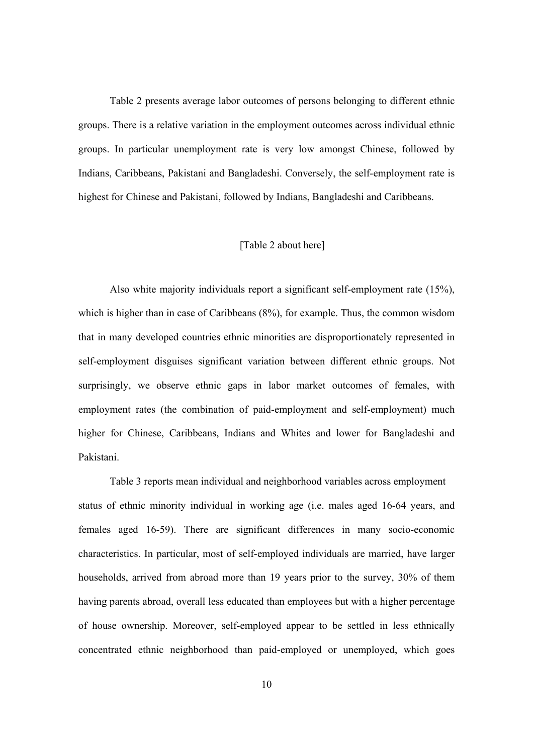Table 2 presents average labor outcomes of persons belonging to different ethnic groups. There is a relative variation in the employment outcomes across individual ethnic groups. In particular unemployment rate is very low amongst Chinese, followed by Indians, Caribbeans, Pakistani and Bangladeshi. Conversely, the self-employment rate is highest for Chinese and Pakistani, followed by Indians, Bangladeshi and Caribbeans.

#### [Table 2 about here]

Also white majority individuals report a significant self-employment rate (15%), which is higher than in case of Caribbeans (8%), for example. Thus, the common wisdom that in many developed countries ethnic minorities are disproportionately represented in self-employment disguises significant variation between different ethnic groups. Not surprisingly, we observe ethnic gaps in labor market outcomes of females, with employment rates (the combination of paid-employment and self-employment) much higher for Chinese, Caribbeans, Indians and Whites and lower for Bangladeshi and Pakistani.

Table 3 reports mean individual and neighborhood variables across employment status of ethnic minority individual in working age (i.e. males aged 16-64 years, and females aged 16-59). There are significant differences in many socio-economic characteristics. In particular, most of self-employed individuals are married, have larger households, arrived from abroad more than 19 years prior to the survey, 30% of them having parents abroad, overall less educated than employees but with a higher percentage of house ownership. Moreover, self-employed appear to be settled in less ethnically concentrated ethnic neighborhood than paid-employed or unemployed, which goes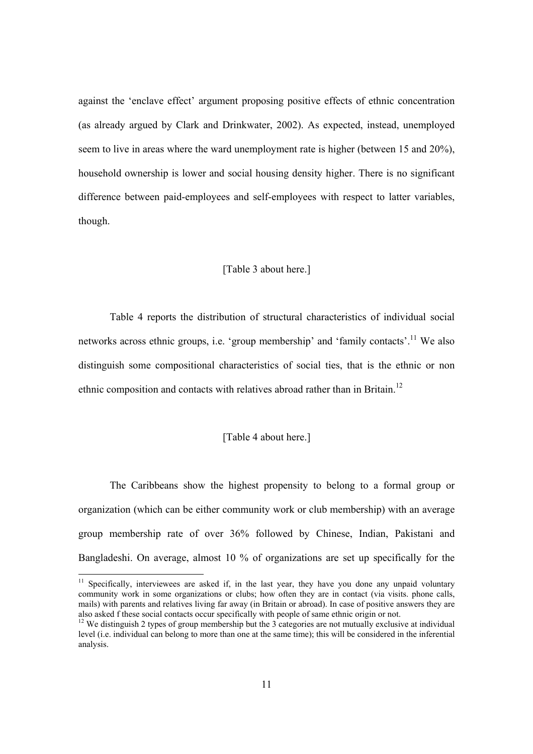against the 'enclave effect' argument proposing positive effects of ethnic concentration (as already argued by Clark and Drinkwater, 2002). As expected, instead, unemployed seem to live in areas where the ward unemployment rate is higher (between 15 and 20%), household ownership is lower and social housing density higher. There is no significant difference between paid-employees and self-employees with respect to latter variables, though.

#### [Table 3 about here.]

Table 4 reports the distribution of structural characteristics of individual social networks across ethnic groups, i.e. 'group membership' and 'family contacts'.<sup>11</sup> We also distinguish some compositional characteristics of social ties, that is the ethnic or non ethnic composition and contacts with relatives abroad rather than in Britain.<sup>12</sup>

#### [Table 4 about here.]

The Caribbeans show the highest propensity to belong to a formal group or organization (which can be either community work or club membership) with an average group membership rate of over 36% followed by Chinese, Indian, Pakistani and Bangladeshi. On average, almost 10 % of organizations are set up specifically for the

<sup>&</sup>lt;sup>11</sup> Specifically, interviewees are asked if, in the last year, they have you done any unpaid voluntary community work in some organizations or clubs; how often they are in contact (via visits. phone calls, mails) with parents and relatives living far away (in Britain or abroad). In case of positive answers they are also asked f these social contacts occur specifically with people of same ethnic origin or not.

<sup>&</sup>lt;sup>12</sup> We distinguish 2 types of group membership but the 3 categories are not mutually exclusive at individual level (i.e. individual can belong to more than one at the same time); this will be considered in the inferential analysis.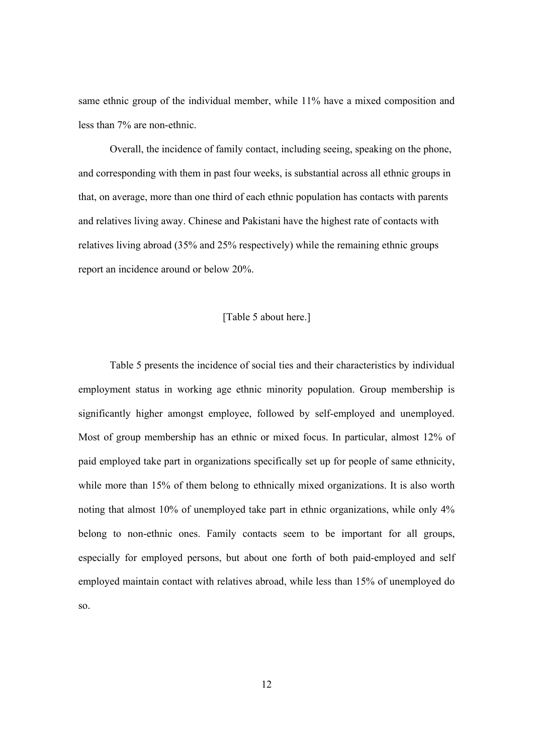same ethnic group of the individual member, while 11% have a mixed composition and less than 7% are non-ethnic.

Overall, the incidence of family contact, including seeing, speaking on the phone, and corresponding with them in past four weeks, is substantial across all ethnic groups in that, on average, more than one third of each ethnic population has contacts with parents and relatives living away. Chinese and Pakistani have the highest rate of contacts with relatives living abroad (35% and 25% respectively) while the remaining ethnic groups report an incidence around or below 20%.

#### [Table 5 about here.]

Table 5 presents the incidence of social ties and their characteristics by individual employment status in working age ethnic minority population. Group membership is significantly higher amongst employee, followed by self-employed and unemployed. Most of group membership has an ethnic or mixed focus. In particular, almost 12% of paid employed take part in organizations specifically set up for people of same ethnicity, while more than 15% of them belong to ethnically mixed organizations. It is also worth noting that almost 10% of unemployed take part in ethnic organizations, while only 4% belong to non-ethnic ones. Family contacts seem to be important for all groups, especially for employed persons, but about one forth of both paid-employed and self employed maintain contact with relatives abroad, while less than 15% of unemployed do so.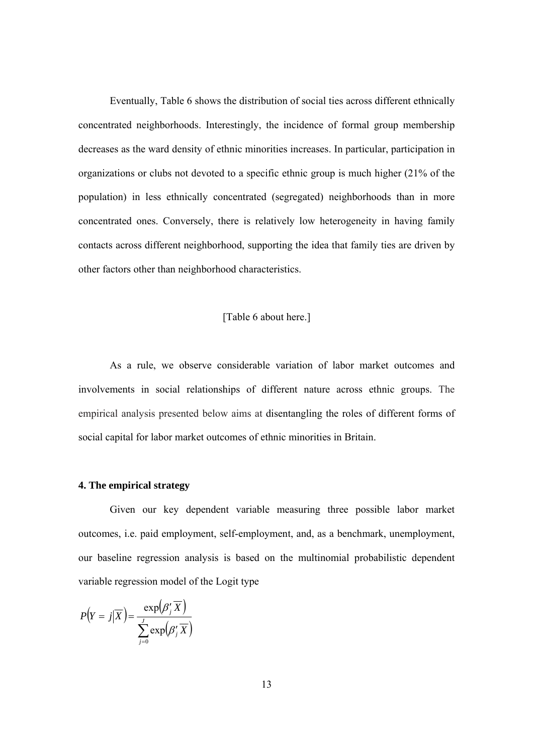Eventually, Table 6 shows the distribution of social ties across different ethnically concentrated neighborhoods. Interestingly, the incidence of formal group membership decreases as the ward density of ethnic minorities increases. In particular, participation in organizations or clubs not devoted to a specific ethnic group is much higher (21% of the population) in less ethnically concentrated (segregated) neighborhoods than in more concentrated ones. Conversely, there is relatively low heterogeneity in having family contacts across different neighborhood, supporting the idea that family ties are driven by other factors other than neighborhood characteristics.

#### [Table 6 about here.]

As a rule, we observe considerable variation of labor market outcomes and involvements in social relationships of different nature across ethnic groups. The empirical analysis presented below aims at disentangling the roles of different forms of social capital for labor market outcomes of ethnic minorities in Britain.

#### **4. The empirical strategy**

Given our key dependent variable measuring three possible labor market outcomes, i.e. paid employment, self-employment, and, as a benchmark, unemployment, our baseline regression analysis is based on the multinomial probabilistic dependent variable regression model of the Logit type

$$
P(Y = j|\overline{X}) = \frac{\exp(\beta'_j \overline{X})}{\sum_{j=0}^{J} \exp(\beta'_j \overline{X})}
$$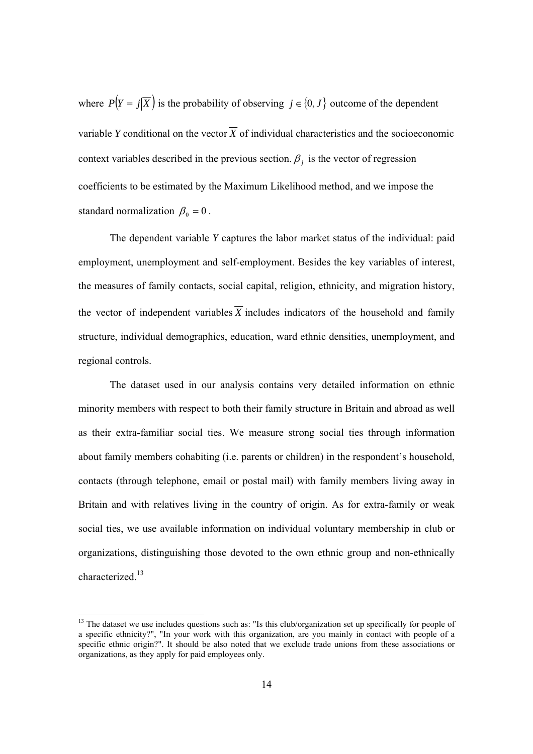where  $P(Y = j|\overline{X})$  is the probability of observing  $j \in \{0, J\}$  outcome of the dependent variable *Y* conditional on the vector  $\overline{X}$  of individual characteristics and the socioeconomic context variables described in the previous section.  $\beta_i$  is the vector of regression coefficients to be estimated by the Maximum Likelihood method, and we impose the standard normalization  $\beta_0 = 0$ .

The dependent variable *Y* captures the labor market status of the individual: paid employment, unemployment and self-employment. Besides the key variables of interest, the measures of family contacts, social capital, religion, ethnicity, and migration history, the vector of independent variables  $\overline{X}$  includes indicators of the household and family structure, individual demographics, education, ward ethnic densities, unemployment, and regional controls.

The dataset used in our analysis contains very detailed information on ethnic minority members with respect to both their family structure in Britain and abroad as well as their extra-familiar social ties. We measure strong social ties through information about family members cohabiting (i.e. parents or children) in the respondent's household, contacts (through telephone, email or postal mail) with family members living away in Britain and with relatives living in the country of origin. As for extra-family or weak social ties, we use available information on individual voluntary membership in club or organizations, distinguishing those devoted to the own ethnic group and non-ethnically characterized<sup>13</sup>

<sup>&</sup>lt;sup>13</sup> The dataset we use includes questions such as: "Is this club/organization set up specifically for people of a specific ethnicity?", "In your work with this organization, are you mainly in contact with people of a specific ethnic origin?". It should be also noted that we exclude trade unions from these associations or organizations, as they apply for paid employees only.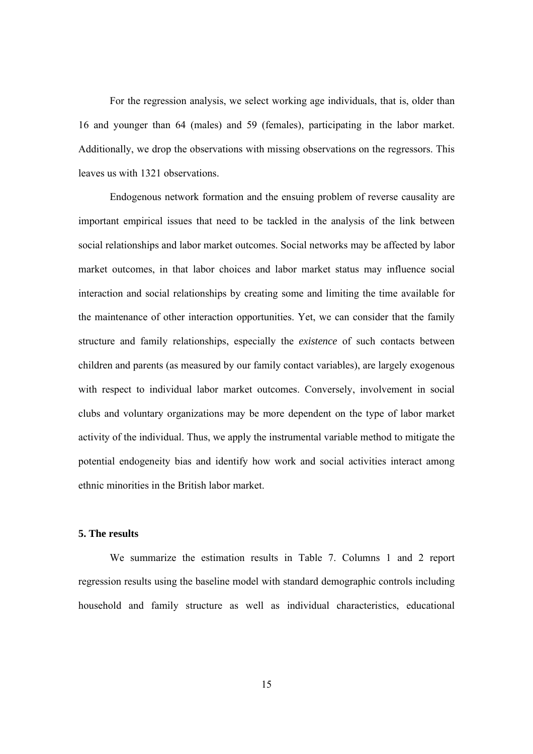For the regression analysis, we select working age individuals, that is, older than 16 and younger than 64 (males) and 59 (females), participating in the labor market. Additionally, we drop the observations with missing observations on the regressors. This leaves us with 1321 observations.

Endogenous network formation and the ensuing problem of reverse causality are important empirical issues that need to be tackled in the analysis of the link between social relationships and labor market outcomes. Social networks may be affected by labor market outcomes, in that labor choices and labor market status may influence social interaction and social relationships by creating some and limiting the time available for the maintenance of other interaction opportunities. Yet, we can consider that the family structure and family relationships, especially the *existence* of such contacts between children and parents (as measured by our family contact variables), are largely exogenous with respect to individual labor market outcomes. Conversely, involvement in social clubs and voluntary organizations may be more dependent on the type of labor market activity of the individual. Thus, we apply the instrumental variable method to mitigate the potential endogeneity bias and identify how work and social activities interact among ethnic minorities in the British labor market.

#### **5. The results**

We summarize the estimation results in Table 7. Columns 1 and 2 report regression results using the baseline model with standard demographic controls including household and family structure as well as individual characteristics, educational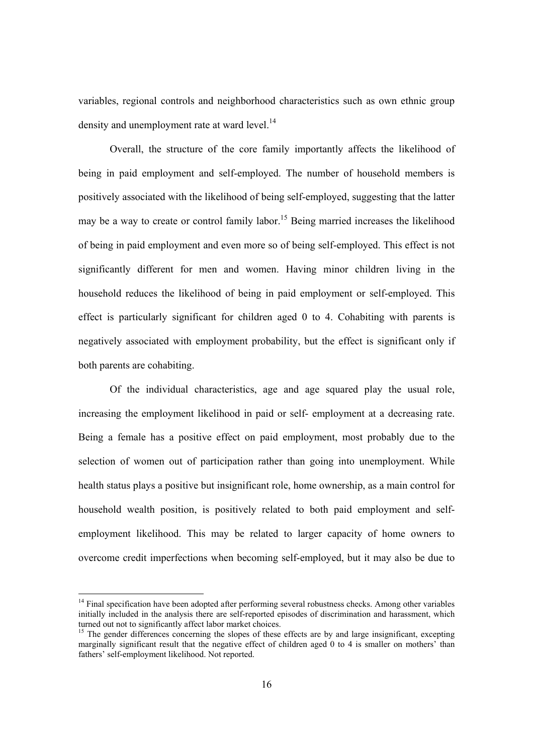variables, regional controls and neighborhood characteristics such as own ethnic group density and unemployment rate at ward level.<sup>14</sup>

Overall, the structure of the core family importantly affects the likelihood of being in paid employment and self-employed. The number of household members is positively associated with the likelihood of being self-employed, suggesting that the latter may be a way to create or control family labor.<sup>15</sup> Being married increases the likelihood of being in paid employment and even more so of being self-employed. This effect is not significantly different for men and women. Having minor children living in the household reduces the likelihood of being in paid employment or self-employed. This effect is particularly significant for children aged 0 to 4. Cohabiting with parents is negatively associated with employment probability, but the effect is significant only if both parents are cohabiting.

Of the individual characteristics, age and age squared play the usual role, increasing the employment likelihood in paid or self- employment at a decreasing rate. Being a female has a positive effect on paid employment, most probably due to the selection of women out of participation rather than going into unemployment. While health status plays a positive but insignificant role, home ownership, as a main control for household wealth position, is positively related to both paid employment and selfemployment likelihood. This may be related to larger capacity of home owners to overcome credit imperfections when becoming self-employed, but it may also be due to

<sup>&</sup>lt;sup>14</sup> Final specification have been adopted after performing several robustness checks. Among other variables initially included in the analysis there are self-reported episodes of discrimination and harassment, which turned out not to significantly affect labor market choices.

 $<sup>15</sup>$  The gender differences concerning the slopes of these effects are by and large insignificant, excepting</sup> marginally significant result that the negative effect of children aged 0 to 4 is smaller on mothers' than fathers' self-employment likelihood. Not reported.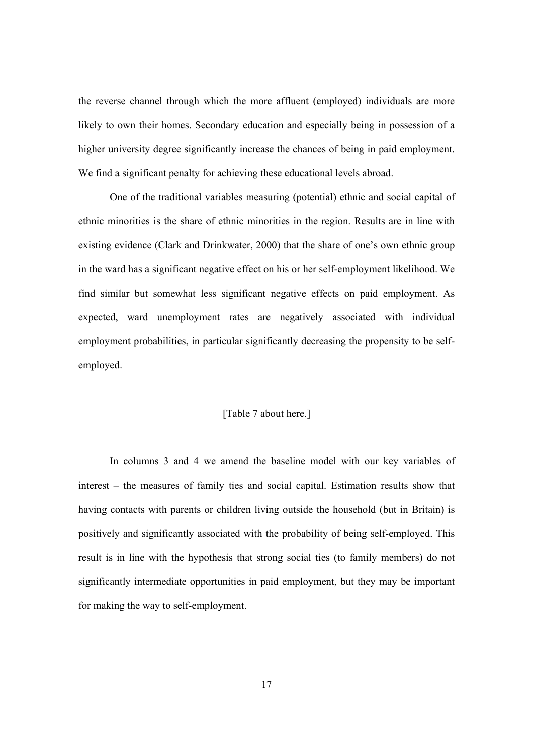the reverse channel through which the more affluent (employed) individuals are more likely to own their homes. Secondary education and especially being in possession of a higher university degree significantly increase the chances of being in paid employment. We find a significant penalty for achieving these educational levels abroad.

One of the traditional variables measuring (potential) ethnic and social capital of ethnic minorities is the share of ethnic minorities in the region. Results are in line with existing evidence (Clark and Drinkwater, 2000) that the share of one's own ethnic group in the ward has a significant negative effect on his or her self-employment likelihood. We find similar but somewhat less significant negative effects on paid employment. As expected, ward unemployment rates are negatively associated with individual employment probabilities, in particular significantly decreasing the propensity to be selfemployed.

#### [Table 7 about here.]

In columns 3 and 4 we amend the baseline model with our key variables of interest – the measures of family ties and social capital. Estimation results show that having contacts with parents or children living outside the household (but in Britain) is positively and significantly associated with the probability of being self-employed. This result is in line with the hypothesis that strong social ties (to family members) do not significantly intermediate opportunities in paid employment, but they may be important for making the way to self-employment.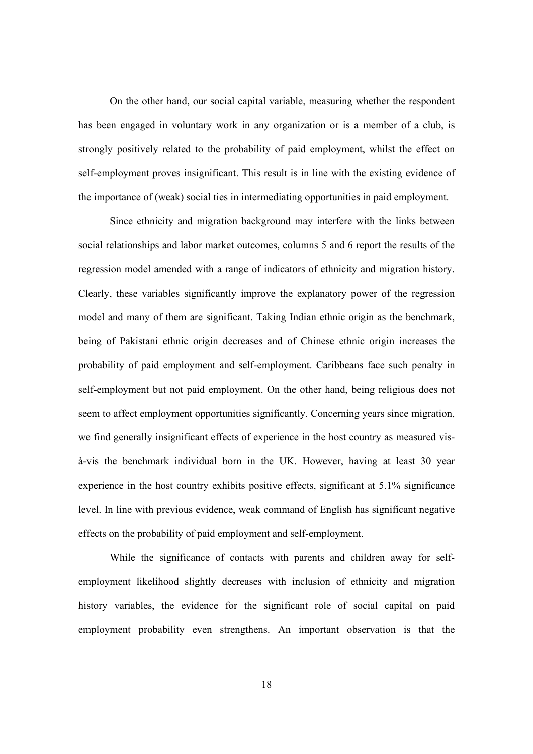On the other hand, our social capital variable, measuring whether the respondent has been engaged in voluntary work in any organization or is a member of a club, is strongly positively related to the probability of paid employment, whilst the effect on self-employment proves insignificant. This result is in line with the existing evidence of the importance of (weak) social ties in intermediating opportunities in paid employment.

Since ethnicity and migration background may interfere with the links between social relationships and labor market outcomes, columns 5 and 6 report the results of the regression model amended with a range of indicators of ethnicity and migration history. Clearly, these variables significantly improve the explanatory power of the regression model and many of them are significant. Taking Indian ethnic origin as the benchmark, being of Pakistani ethnic origin decreases and of Chinese ethnic origin increases the probability of paid employment and self-employment. Caribbeans face such penalty in self-employment but not paid employment. On the other hand, being religious does not seem to affect employment opportunities significantly. Concerning years since migration, we find generally insignificant effects of experience in the host country as measured visà-vis the benchmark individual born in the UK. However, having at least 30 year experience in the host country exhibits positive effects, significant at 5.1% significance level. In line with previous evidence, weak command of English has significant negative effects on the probability of paid employment and self-employment.

While the significance of contacts with parents and children away for selfemployment likelihood slightly decreases with inclusion of ethnicity and migration history variables, the evidence for the significant role of social capital on paid employment probability even strengthens. An important observation is that the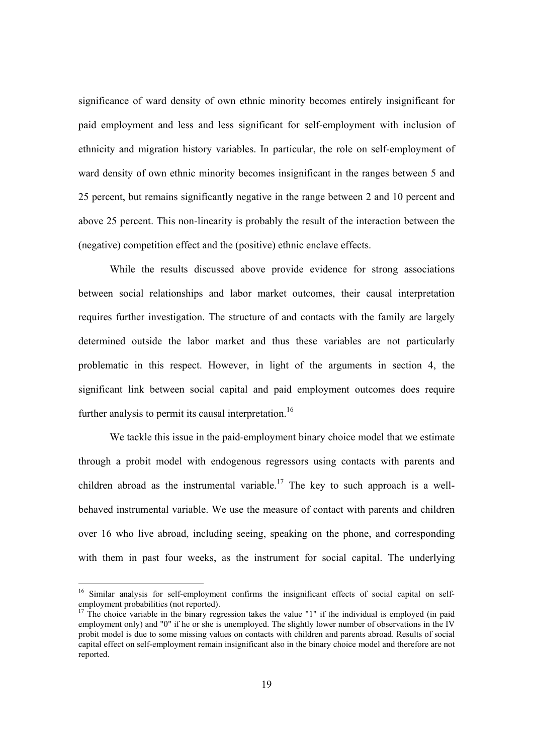significance of ward density of own ethnic minority becomes entirely insignificant for paid employment and less and less significant for self-employment with inclusion of ethnicity and migration history variables. In particular, the role on self-employment of ward density of own ethnic minority becomes insignificant in the ranges between 5 and 25 percent, but remains significantly negative in the range between 2 and 10 percent and above 25 percent. This non-linearity is probably the result of the interaction between the (negative) competition effect and the (positive) ethnic enclave effects.

 While the results discussed above provide evidence for strong associations between social relationships and labor market outcomes, their causal interpretation requires further investigation. The structure of and contacts with the family are largely determined outside the labor market and thus these variables are not particularly problematic in this respect. However, in light of the arguments in section 4, the significant link between social capital and paid employment outcomes does require further analysis to permit its causal interpretation.<sup>16</sup>

We tackle this issue in the paid-employment binary choice model that we estimate through a probit model with endogenous regressors using contacts with parents and children abroad as the instrumental variable.<sup>17</sup> The key to such approach is a wellbehaved instrumental variable. We use the measure of contact with parents and children over 16 who live abroad, including seeing, speaking on the phone, and corresponding with them in past four weeks, as the instrument for social capital. The underlying

<sup>&</sup>lt;sup>16</sup> Similar analysis for self-employment confirms the insignificant effects of social capital on selfemployment probabilities (not reported).

 $17$  The choice variable in the binary regression takes the value "1" if the individual is employed (in paid employment only) and "0" if he or she is unemployed. The slightly lower number of observations in the IV probit model is due to some missing values on contacts with children and parents abroad. Results of social capital effect on self-employment remain insignificant also in the binary choice model and therefore are not reported.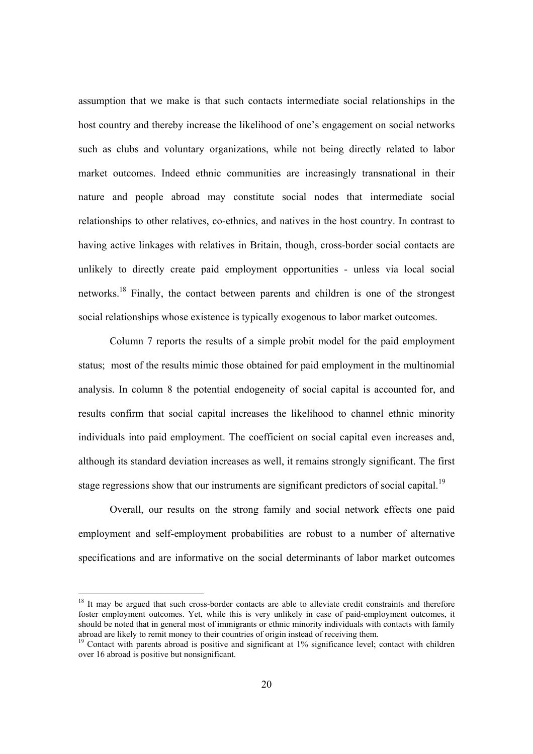assumption that we make is that such contacts intermediate social relationships in the host country and thereby increase the likelihood of one's engagement on social networks such as clubs and voluntary organizations, while not being directly related to labor market outcomes. Indeed ethnic communities are increasingly transnational in their nature and people abroad may constitute social nodes that intermediate social relationships to other relatives, co-ethnics, and natives in the host country. In contrast to having active linkages with relatives in Britain, though, cross-border social contacts are unlikely to directly create paid employment opportunities - unless via local social networks.18 Finally, the contact between parents and children is one of the strongest social relationships whose existence is typically exogenous to labor market outcomes.

 Column 7 reports the results of a simple probit model for the paid employment status; most of the results mimic those obtained for paid employment in the multinomial analysis. In column 8 the potential endogeneity of social capital is accounted for, and results confirm that social capital increases the likelihood to channel ethnic minority individuals into paid employment. The coefficient on social capital even increases and, although its standard deviation increases as well, it remains strongly significant. The first stage regressions show that our instruments are significant predictors of social capital.<sup>19</sup>

Overall, our results on the strong family and social network effects one paid employment and self-employment probabilities are robust to a number of alternative specifications and are informative on the social determinants of labor market outcomes

 $18$  It may be argued that such cross-border contacts are able to alleviate credit constraints and therefore foster employment outcomes. Yet, while this is very unlikely in case of paid-employment outcomes, it should be noted that in general most of immigrants or ethnic minority individuals with contacts with family abroad are likely to remit money to their countries of origin instead of receiving them.

<sup>&</sup>lt;sup>19</sup> Contact with parents abroad is positive and significant at 1% significance level; contact with children over 16 abroad is positive but nonsignificant.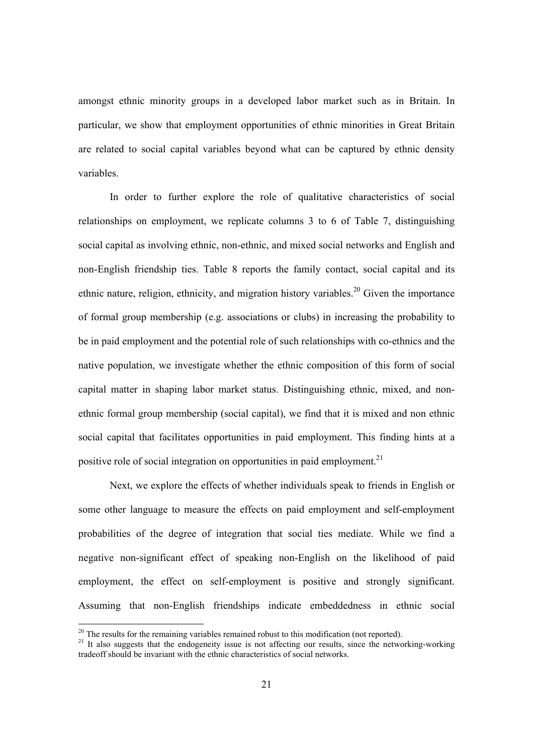amongst ethnic minority groups in a developed labor market such as in Britain. In particular, we show that employment opportunities of ethnic minorities in Great Britain are related to social capital variables beyond what can be captured by ethnic density variables.

In order to further explore the role of qualitative characteristics of social relationships on employment, we replicate columns 3 to 6 of Table 7, distinguishing social capital as involving ethnic, non-ethnic, and mixed social networks and English and non-English friendship ties. Table 8 reports the family contact, social capital and its ethnic nature, religion, ethnicity, and migration history variables.<sup>20</sup> Given the importance of formal group membership (e.g. associations or clubs) in increasing the probability to be in paid employment and the potential role of such relationships with co-ethnics and the native population, we investigate whether the ethnic composition of this form of social capital matter in shaping labor market status. Distinguishing ethnic, mixed, and nonethnic formal group membership (social capital), we find that it is mixed and non ethnic social capital that facilitates opportunities in paid employment. This finding hints at a positive role of social integration on opportunities in paid employment.<sup>21</sup>

Next, we explore the effects of whether individuals speak to friends in English or some other language to measure the effects on paid employment and self-employment probabilities of the degree of integration that social ties mediate. While we find a negative non-significant effect of speaking non-English on the likelihood of paid employment, the effect on self-employment is positive and strongly significant. Assuming that non-English friendships indicate embeddedness in ethnic social

 $20$  The results for the remaining variables remained robust to this modification (not reported).

<sup>&</sup>lt;sup>21</sup> It also suggests that the endogeneity issue is not affecting our results, since the networking-working tradeoff should be invariant with the ethnic characteristics of social networks.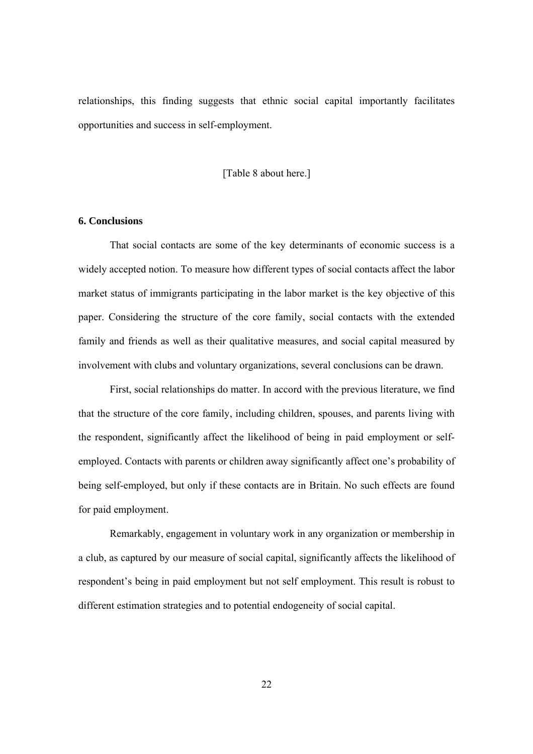relationships, this finding suggests that ethnic social capital importantly facilitates opportunities and success in self-employment.

[Table 8 about here.]

#### **6. Conclusions**

That social contacts are some of the key determinants of economic success is a widely accepted notion. To measure how different types of social contacts affect the labor market status of immigrants participating in the labor market is the key objective of this paper. Considering the structure of the core family, social contacts with the extended family and friends as well as their qualitative measures, and social capital measured by involvement with clubs and voluntary organizations, several conclusions can be drawn.

 First, social relationships do matter. In accord with the previous literature, we find that the structure of the core family, including children, spouses, and parents living with the respondent, significantly affect the likelihood of being in paid employment or selfemployed. Contacts with parents or children away significantly affect one's probability of being self-employed, but only if these contacts are in Britain. No such effects are found for paid employment.

 Remarkably, engagement in voluntary work in any organization or membership in a club, as captured by our measure of social capital, significantly affects the likelihood of respondent's being in paid employment but not self employment. This result is robust to different estimation strategies and to potential endogeneity of social capital.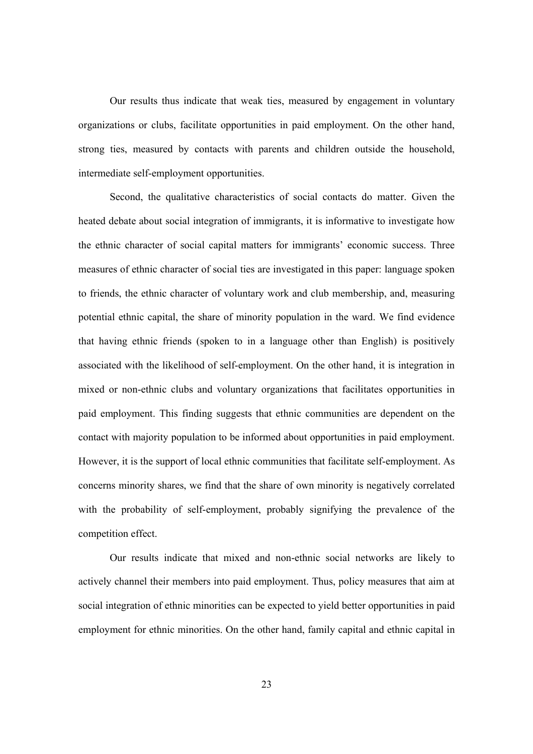Our results thus indicate that weak ties, measured by engagement in voluntary organizations or clubs, facilitate opportunities in paid employment. On the other hand, strong ties, measured by contacts with parents and children outside the household, intermediate self-employment opportunities.

Second, the qualitative characteristics of social contacts do matter. Given the heated debate about social integration of immigrants, it is informative to investigate how the ethnic character of social capital matters for immigrants' economic success. Three measures of ethnic character of social ties are investigated in this paper: language spoken to friends, the ethnic character of voluntary work and club membership, and, measuring potential ethnic capital, the share of minority population in the ward. We find evidence that having ethnic friends (spoken to in a language other than English) is positively associated with the likelihood of self-employment. On the other hand, it is integration in mixed or non-ethnic clubs and voluntary organizations that facilitates opportunities in paid employment. This finding suggests that ethnic communities are dependent on the contact with majority population to be informed about opportunities in paid employment. However, it is the support of local ethnic communities that facilitate self-employment. As concerns minority shares, we find that the share of own minority is negatively correlated with the probability of self-employment, probably signifying the prevalence of the competition effect.

Our results indicate that mixed and non-ethnic social networks are likely to actively channel their members into paid employment. Thus, policy measures that aim at social integration of ethnic minorities can be expected to yield better opportunities in paid employment for ethnic minorities. On the other hand, family capital and ethnic capital in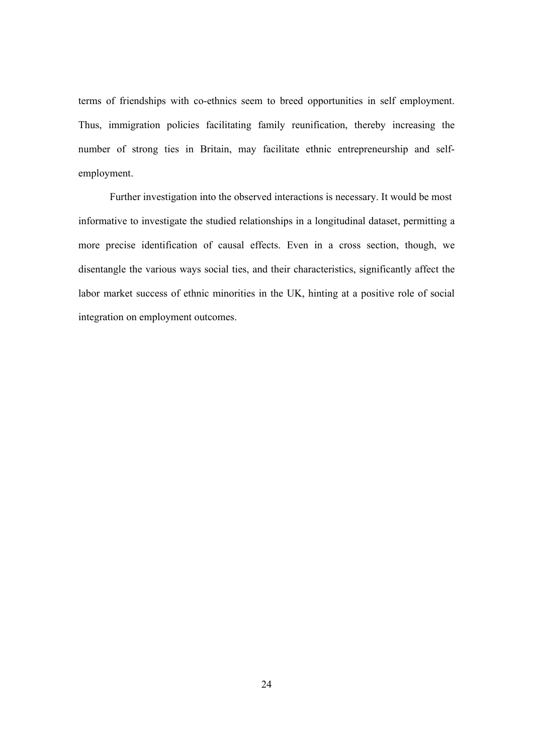terms of friendships with co-ethnics seem to breed opportunities in self employment. Thus, immigration policies facilitating family reunification, thereby increasing the number of strong ties in Britain, may facilitate ethnic entrepreneurship and selfemployment.

 Further investigation into the observed interactions is necessary. It would be most informative to investigate the studied relationships in a longitudinal dataset, permitting a more precise identification of causal effects. Even in a cross section, though, we disentangle the various ways social ties, and their characteristics, significantly affect the labor market success of ethnic minorities in the UK, hinting at a positive role of social integration on employment outcomes.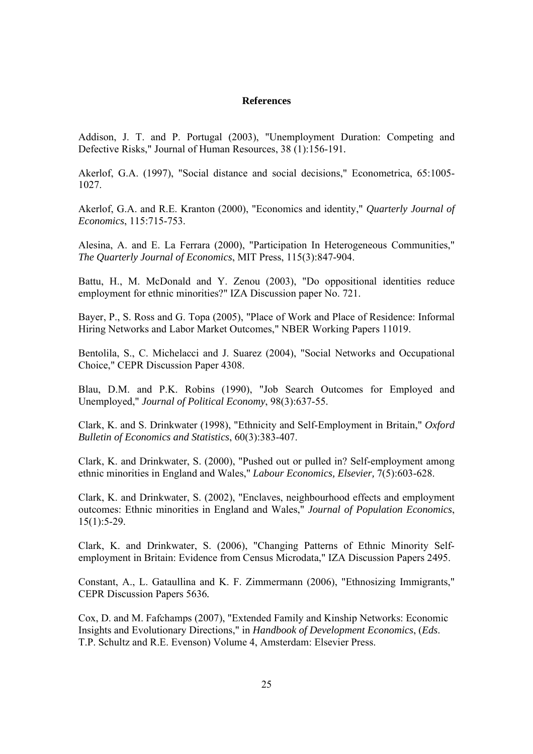#### **References**

Addison, J. T. and P. Portugal (2003), "Unemployment Duration: Competing and Defective Risks," Journal of Human Resources, 38 (1):156-191*.* 

Akerlof, G.A. (1997), "Social distance and social decisions," Econometrica, 65:1005- 1027.

Akerlof, G.A. and R.E. Kranton (2000), "Economics and identity," *Quarterly Journal of Economics*, 115:715-753.

Alesina, A. and E. La Ferrara (2000), "Participation In Heterogeneous Communities," *The Quarterly Journal of Economics*, MIT Press, 115(3):847-904.

Battu, H., M. McDonald and Y. Zenou (2003), "Do oppositional identities reduce employment for ethnic minorities?" IZA Discussion paper No. 721.

Bayer, P., S. Ross and G. Topa (2005), "Place of Work and Place of Residence: Informal Hiring Networks and Labor Market Outcomes," NBER Working Papers 11019.

Bentolila, S., C. Michelacci and J. Suarez (2004), "Social Networks and Occupational Choice," CEPR Discussion Paper 4308.

Blau, D.M. and P.K. Robins (1990), "Job Search Outcomes for Employed and Unemployed," *Journal of Political Economy*, 98(3):637-55.

Clark, K. and S. Drinkwater (1998), "Ethnicity and Self-Employment in Britain," *Oxford Bulletin of Economics and Statistics*, 60(3):383-407.

Clark, K. and Drinkwater, S. (2000), "Pushed out or pulled in? Self-employment among ethnic minorities in England and Wales," *Labour Economics, Elsevier,* 7(5):603-628.

Clark, K. and Drinkwater, S. (2002), "Enclaves, neighbourhood effects and employment outcomes: Ethnic minorities in England and Wales," *Journal of Population Economics*,  $15(1):5-29.$ 

Clark, K. and Drinkwater, S. (2006), "Changing Patterns of Ethnic Minority Selfemployment in Britain: Evidence from Census Microdata," IZA Discussion Papers 2495.

Constant, A., L. Gataullina and K. F. Zimmermann (2006), "Ethnosizing Immigrants," CEPR Discussion Papers 5636*.*

Cox, D. and M. Fafchamps (2007), "Extended Family and Kinship Networks: Economic Insights and Evolutionary Directions," in *Handbook of Development Economics*, (*Eds*. T.P. Schultz and R.E. Evenson) Volume 4, Amsterdam: Elsevier Press.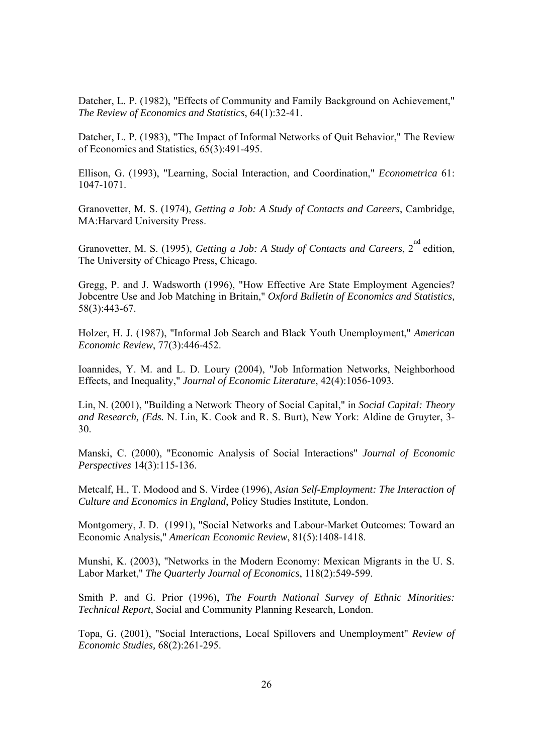Datcher, L. P. (1982), "Effects of Community and Family Background on Achievement," *The Review of Economics and Statistics*, 64(1):32-41.

Datcher, L. P. (1983), "The Impact of Informal Networks of Quit Behavior," The Review of Economics and Statistics, 65(3):491-495.

Ellison, G. (1993), "Learning, Social Interaction, and Coordination," *Econometrica* 61: 1047-1071.

Granovetter, M. S. (1974), *Getting a Job: A Study of Contacts and Careers*, Cambridge, MA:Harvard University Press.

Granovetter, M. S. (1995), *Getting a Job: A Study of Contacts and Careers*, 2<sup>nd</sup> edition, The University of Chicago Press, Chicago.

Gregg, P. and J. Wadsworth (1996), "How Effective Are State Employment Agencies? Jobcentre Use and Job Matching in Britain," *Oxford Bulletin of Economics and Statistics,*  58(3):443-67.

Holzer, H. J. (1987), "Informal Job Search and Black Youth Unemployment," *American Economic Review*, 77(3):446-452.

Ioannides, Y. M. and L. D. Loury (2004), "Job Information Networks, Neighborhood Effects, and Inequality," *Journal of Economic Literature*, 42(4):1056-1093.

Lin, N. (2001), "Building a Network Theory of Social Capital," in *Social Capital: Theory and Research, (Eds.* N. Lin, K. Cook and R. S. Burt), New York: Aldine de Gruyter, 3- 30.

Manski, C. (2000), "Economic Analysis of Social Interactions" *Journal of Economic Perspectives* 14(3):115-136.

Metcalf, H., T. Modood and S. Virdee (1996), *Asian Self-Employment: The Interaction of Culture and Economics in England*, Policy Studies Institute, London.

Montgomery, J. D. (1991), "Social Networks and Labour-Market Outcomes: Toward an Economic Analysis," *American Economic Review*, 81(5):1408-1418.

Munshi, K. (2003), "Networks in the Modern Economy: Mexican Migrants in the U. S. Labor Market," *The Quarterly Journal of Economics*, 118(2):549-599.

Smith P. and G. Prior (1996), *The Fourth National Survey of Ethnic Minorities: Technical Report*, Social and Community Planning Research, London.

Topa, G. (2001), "Social Interactions, Local Spillovers and Unemployment" *Review of Economic Studies,* 68(2):261-295.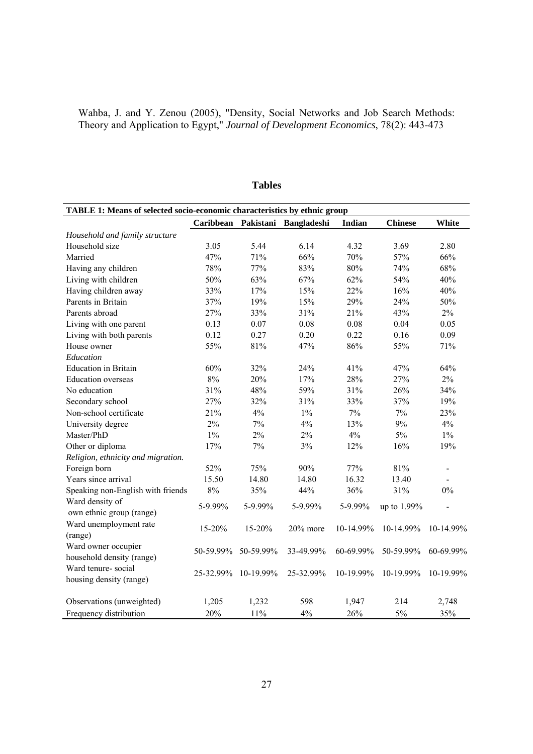|  |  |  |  | Wahba, J. and Y. Zenou (2005), "Density, Social Networks and Job Search Methods:   |  |  |  |
|--|--|--|--|------------------------------------------------------------------------------------|--|--|--|
|  |  |  |  | Theory and Application to Egypt," Journal of Development Economics, 78(2): 443-473 |  |  |  |

| TABLE 1: Means of selected socio-economic characteristics by ethnic group |           |              |                    |           |                |                              |  |  |  |  |
|---------------------------------------------------------------------------|-----------|--------------|--------------------|-----------|----------------|------------------------------|--|--|--|--|
|                                                                           | Caribbean | Pakistani    | <b>Bangladeshi</b> | Indian    | <b>Chinese</b> | White                        |  |  |  |  |
| Household and family structure                                            |           |              |                    |           |                |                              |  |  |  |  |
| Household size                                                            | 3.05      | 5.44         | 6.14               | 4.32      | 3.69           | 2.80                         |  |  |  |  |
| Married                                                                   | 47%       | 71%          | 66%                | 70%       | 57%            | 66%                          |  |  |  |  |
| Having any children                                                       | 78%       | 77%          | 83%                | 80%       | 74%            | 68%                          |  |  |  |  |
| Living with children                                                      | 50%       | 63%          | 67%                | 62%       | 54%            | 40%                          |  |  |  |  |
| Having children away                                                      | 33%       | 17%          | 15%                | 22%       | 16%            | 40%                          |  |  |  |  |
| Parents in Britain                                                        | 37%       | 19%          | 15%                | 29%       | 24%            | 50%                          |  |  |  |  |
| Parents abroad                                                            | 27%       | 33%          | 31%                | 21%       | 43%            | $2\%$                        |  |  |  |  |
| Living with one parent                                                    | 0.13      | 0.07         | 0.08               | 0.08      | 0.04           | 0.05                         |  |  |  |  |
| Living with both parents                                                  | 0.12      | 0.27         | 0.20               | 0.22      | 0.16           | 0.09                         |  |  |  |  |
| House owner                                                               | 55%       | 81%          | 47%                | 86%       | 55%            | 71%                          |  |  |  |  |
| Education                                                                 |           |              |                    |           |                |                              |  |  |  |  |
| <b>Education</b> in Britain                                               | 60%       | 32%          | 24%                | 41%       | 47%            | 64%                          |  |  |  |  |
| <b>Education</b> overseas                                                 | 8%        | 20%          | 17%                | 28%       | 27%            | 2%                           |  |  |  |  |
| No education                                                              | 31%       | 48%          | 59%                | 31%       | 26%            | 34%                          |  |  |  |  |
| Secondary school                                                          | 27%       | 32%          | 31%                | 33%       | 37%            | 19%                          |  |  |  |  |
| Non-school certificate                                                    | 21%       | 4%           | $1\%$              | 7%        | 7%             | 23%                          |  |  |  |  |
| University degree                                                         | 2%        | 7%           | 4%                 | 13%       | 9%             | 4%                           |  |  |  |  |
| Master/PhD                                                                | $1\%$     | 2%           | 2%                 | 4%        | $5\%$          | $1\%$                        |  |  |  |  |
| Other or diploma                                                          | 17%       | 7%           | 3%                 | 12%       | 16%            | 19%                          |  |  |  |  |
| Religion, ethnicity and migration.                                        |           |              |                    |           |                |                              |  |  |  |  |
| Foreign born                                                              | 52%       | 75%          | 90%                | 77%       | 81%            | $\qquad \qquad \blacksquare$ |  |  |  |  |
| Years since arrival                                                       | 15.50     | 14.80        | 14.80              | 16.32     | 13.40          |                              |  |  |  |  |
| Speaking non-English with friends                                         | 8%        | 35%          | 44%                | 36%       | 31%            | 0%                           |  |  |  |  |
| Ward density of                                                           | 5-9.99%   | 5-9.99%      | 5-9.99%            | 5-9.99%   | up to 1.99%    |                              |  |  |  |  |
| own ethnic group (range)                                                  |           |              |                    |           |                |                              |  |  |  |  |
| Ward unemployment rate                                                    | 15-20%    | 15-20%       | $20\%$ more        | 10-14.99% | 10-14.99%      | 10-14.99%                    |  |  |  |  |
| (range)                                                                   |           |              |                    |           |                |                              |  |  |  |  |
| Ward owner occupier                                                       | 50-59.99% | 50-59.99%    | 33-49.99%          | 60-69.99% | 50-59.99%      | 60-69.99%                    |  |  |  |  |
| household density (range)                                                 |           |              |                    |           |                |                              |  |  |  |  |
| Ward tenure-social                                                        | 25-32.99% | $10-19.99\%$ | 25-32.99%          | 10-19.99% | 10-19.99%      | $10-19.99\%$                 |  |  |  |  |
| housing density (range)                                                   |           |              |                    |           |                |                              |  |  |  |  |
| Observations (unweighted)                                                 | 1,205     | 1,232        | 598                | 1,947     | 214            | 2,748                        |  |  |  |  |
| Frequency distribution                                                    | 20%       | 11%          | 4%                 | 26%       | 5%             | 35%                          |  |  |  |  |

## **Tables**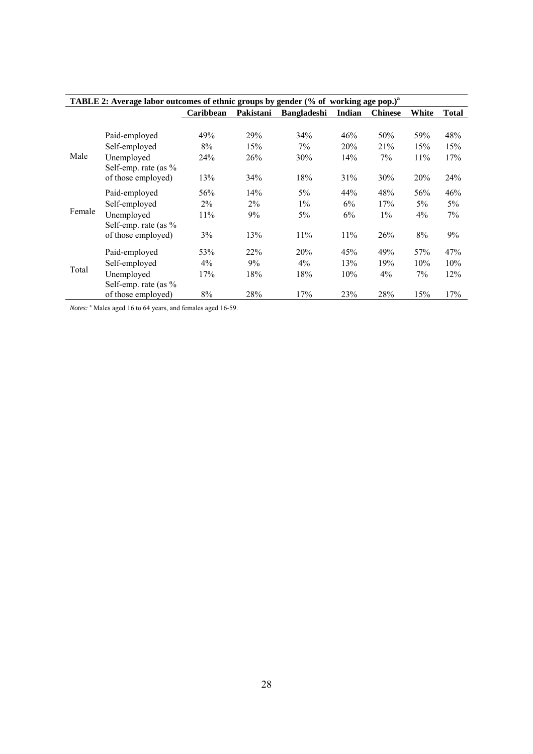| TABLE 2: Average labor outcomes of ethnic groups by gender (% of working age pop.) <sup>a</sup> |                                            |                 |            |                    |        |                |       |        |  |
|-------------------------------------------------------------------------------------------------|--------------------------------------------|-----------------|------------|--------------------|--------|----------------|-------|--------|--|
|                                                                                                 |                                            | Caribbean       | Pakistani  | <b>Bangladeshi</b> | Indian | <b>Chinese</b> | White | Total  |  |
|                                                                                                 |                                            |                 |            |                    |        |                |       |        |  |
|                                                                                                 | Paid-employed                              | 49%             | 29%        | 34%                | 46%    | 50%            | 59%   | 48%    |  |
|                                                                                                 | Self-employed                              | 8%              | 15%        | 7%                 | 20%    | 21%            | 15%   | 15%    |  |
| Male                                                                                            | Unemployed                                 | 24 <sup>%</sup> | 26%        | 30%                | 14%    | $7\%$          | 11%   | 17%    |  |
|                                                                                                 | Self-emp. rate (as $\%$                    |                 |            |                    |        |                |       |        |  |
|                                                                                                 | of those employed)                         | 13%             | 34%        | 18%                | 31%    | 30%            | 20%   | 24%    |  |
|                                                                                                 | Paid-employed                              | 56%             | 14%        | $5\%$              | 44%    | 48%            | 56%   | 46%    |  |
|                                                                                                 | Self-employed                              | $2\%$           | $2\%$      | $1\%$              | 6%     | 17%            | $5\%$ | $5\%$  |  |
| Female                                                                                          | Unemployed                                 | 11%             | 9%         | $5\%$              | 6%     | $1\%$          | $4\%$ | $7\%$  |  |
|                                                                                                 | Self-emp. rate (as $\%$                    |                 |            |                    |        |                |       |        |  |
|                                                                                                 | of those employed)                         | $3\%$           | 13%        | 11%                | 11%    | 26%            | 8%    | 9%     |  |
|                                                                                                 | Paid-employed                              | 53%             | 22%        | 20%                | 45%    | 49%            | 57%   | 47%    |  |
|                                                                                                 | Self-employed                              | $4\%$           | 9%         | $4\%$              | 13%    | 19%            | 10%   | $10\%$ |  |
| Total                                                                                           | Unemployed                                 | 17%             | 18%        | 18%                | 10%    | $4\%$          | $7\%$ | 12%    |  |
|                                                                                                 | Self-emp. rate (as %<br>of those employed) | 8%              | <b>28%</b> | 17%                | 23%    | 28%            | 15%   | 17%    |  |

Notes: <sup>a</sup> Males aged 16 to 64 years, and females aged 16-59.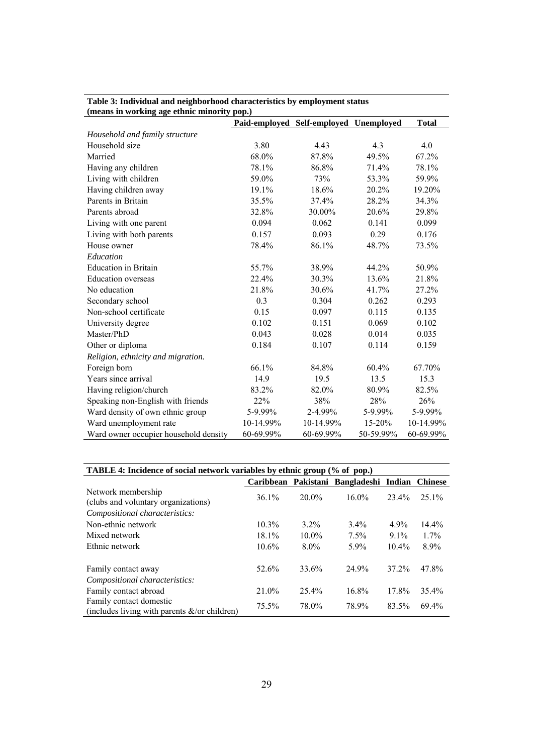| (means in working age ethnic minority pop.) |           |                                        |           |              |
|---------------------------------------------|-----------|----------------------------------------|-----------|--------------|
|                                             |           | Paid-employed Self-employed Unemployed |           | <b>Total</b> |
| Household and family structure              |           |                                        |           |              |
| Household size                              | 3.80      | 4.43                                   | 4.3       | 4.0          |
| Married                                     | 68.0%     | 87.8%                                  | 49.5%     | 67.2%        |
| Having any children                         | 78.1%     | 86.8%                                  | 71.4%     | 78.1%        |
| Living with children                        | 59.0%     | 73%                                    | 53.3%     | 59.9%        |
| Having children away                        | 19.1%     | 18.6%                                  | 20.2%     | 19.20%       |
| Parents in Britain                          | 35.5%     | 37.4%                                  | 28.2%     | 34.3%        |
| Parents abroad                              | 32.8%     | 30.00%                                 | 20.6%     | 29.8%        |
| Living with one parent                      | 0.094     | 0.062                                  | 0.141     | 0.099        |
| Living with both parents                    | 0.157     | 0.093                                  | 0.29      | 0.176        |
| House owner                                 | 78.4%     | 86.1%                                  | 48.7%     | 73.5%        |
| Education                                   |           |                                        |           |              |
| <b>Education</b> in Britain                 | 55.7%     | 38.9%                                  | 44.2%     | 50.9%        |
| <b>Education</b> overseas                   | 22.4%     | 30.3%                                  | 13.6%     | 21.8%        |
| No education                                | 21.8%     | 30.6%                                  | 41.7%     | 27.2%        |
| Secondary school                            | 0.3       | 0.304                                  | 0.262     | 0.293        |
| Non-school certificate                      | 0.15      | 0.097                                  | 0.115     | 0.135        |
| University degree                           | 0.102     | 0.151                                  | 0.069     | 0.102        |
| Master/PhD                                  | 0.043     | 0.028                                  | 0.014     | 0.035        |
| Other or diploma                            | 0.184     | 0.107                                  | 0.114     | 0.159        |
| Religion, ethnicity and migration.          |           |                                        |           |              |
| Foreign born                                | 66.1%     | 84.8%                                  | 60.4%     | 67.70%       |
| Years since arrival                         | 14.9      | 19.5                                   | 13.5      | 15.3         |
| Having religion/church                      | 83.2%     | 82.0%                                  | 80.9%     | 82.5%        |
| Speaking non-English with friends           | 22%       | 38%                                    | 28%       | 26%          |
| Ward density of own ethnic group            | 5-9.99%   | 2-4.99%                                | 5-9.99%   | 5-9.99%      |
| Ward unemployment rate                      | 10-14.99% | 10-14.99%                              | 15-20%    | 10-14.99%    |
| Ward owner occupier household density       | 60-69.99% | 60-69.99%                              | 50-59.99% | 60-69.99%    |

# **Table 3: Individual and neighborhood characteristics by employment status**

| TABLE 4: Incidence of social network variables by ethnic group (% of pop.)  |                                                |          |          |          |          |  |  |  |  |
|-----------------------------------------------------------------------------|------------------------------------------------|----------|----------|----------|----------|--|--|--|--|
|                                                                             | Caribbean Pakistani Bangladeshi Indian Chinese |          |          |          |          |  |  |  |  |
| Network membership<br>(clubs and voluntary organizations)                   | $36.1\%$                                       | $20.0\%$ | $16.0\%$ | 23.4%    | $25.1\%$ |  |  |  |  |
| Compositional characteristics:                                              |                                                |          |          |          |          |  |  |  |  |
| Non-ethnic network                                                          | $10.3\%$                                       | $3.2\%$  | $3.4\%$  | $4.9\%$  | $14.4\%$ |  |  |  |  |
| Mixed network                                                               | $18.1\%$                                       | $10.0\%$ | 7.5%     | $9.1\%$  | $1.7\%$  |  |  |  |  |
| Ethnic network                                                              | $10.6\%$                                       | $8.0\%$  | 5.9%     | $10.4\%$ | $8.9\%$  |  |  |  |  |
| Family contact away                                                         | 52.6%                                          | 33.6%    | 24.9%    | 37.2%    | 47.8%    |  |  |  |  |
| Compositional characteristics:                                              |                                                |          |          |          |          |  |  |  |  |
| Family contact abroad                                                       | 21.0%                                          | 25.4%    | 16.8%    | 17.8%    | 35.4%    |  |  |  |  |
| Family contact domestic<br>(includes living with parents $\&$ /or children) | 75.5%                                          | 78.0%    | 78.9%    | 83.5%    | 69.4%    |  |  |  |  |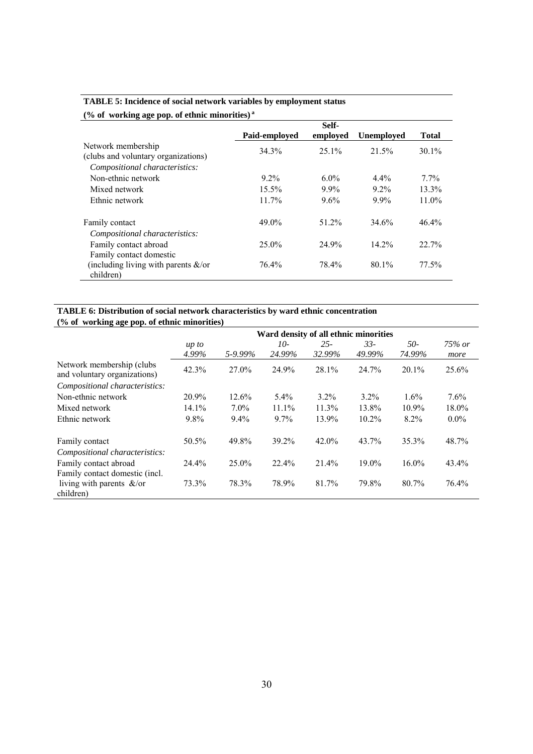| (% of working age pop. of ethnic minorities) $a$                                            |                      |                    |                    |                   |  |  |  |  |  |
|---------------------------------------------------------------------------------------------|----------------------|--------------------|--------------------|-------------------|--|--|--|--|--|
|                                                                                             | Paid-employed        | Self-<br>employed  | <b>Unemployed</b>  | <b>Total</b>      |  |  |  |  |  |
| Network membership<br>(clubs and voluntary organizations)<br>Compositional characteristics: | 34.3%                | $25.1\%$           | 21.5%              | $30.1\%$          |  |  |  |  |  |
| Non-ethnic network                                                                          | $9.2\%$              | $6.0\%$            | $4.4\%$            | $7.7\%$           |  |  |  |  |  |
| Mixed network<br>Ethnic network                                                             | $15.5\%$<br>$11.7\%$ | $9.9\%$<br>$9.6\%$ | $9.2\%$<br>$9.9\%$ | $13.3\%$<br>11.0% |  |  |  |  |  |
| Family contact                                                                              | 49.0%                | 51.2%              | 34.6%              | $46.4\%$          |  |  |  |  |  |
| Compositional characteristics:<br>Family contact abroad                                     | $25.0\%$             | 24.9%              | 14.2%              | 22.7%             |  |  |  |  |  |
| Family contact domestic<br>(including living with parents $\&$ /or<br>children)             | 76.4%                | 78.4%              | 80.1%              | 77.5%             |  |  |  |  |  |

## **TABLE 5: Incidence of social network variables by employment status**

#### **TABLE 6: Distribution of social network characteristics by ward ethnic concentration (% of working age pop. of ethnic minorities)**

|                                                            |                     | Ward density of all ethnic minorities |                 |                  |                 |               |                   |  |  |  |  |
|------------------------------------------------------------|---------------------|---------------------------------------|-----------------|------------------|-----------------|---------------|-------------------|--|--|--|--|
|                                                            | $\mu p$ to<br>4.99% | 5-9.99%                               | $10-$<br>24.99% | $25 -$<br>32.99% | $33-$<br>49.99% | 50-<br>74.99% | $75\%$ or<br>more |  |  |  |  |
| Network membership (clubs)<br>and voluntary organizations) | 42.3%               | 27.0%                                 | 24.9%           | 28.1%            | 24.7%           | $20.1\%$      | 25.6%             |  |  |  |  |
| Compositional characteristics:                             |                     |                                       |                 |                  |                 |               |                   |  |  |  |  |
| Non-ethnic network                                         | 20.9%               | $12.6\%$                              | $5.4\%$         | $3.2\%$          | $3.2\%$         | 1.6%          | $7.6\%$           |  |  |  |  |
| Mixed network                                              | 14.1%               | $7.0\%$                               | 11.1%           | 11.3%            | 13.8%           | $10.9\%$      | $18.0\%$          |  |  |  |  |
| Ethnic network                                             | 9.8%                | $9.4\%$                               | $9.7\%$         | 13.9%            | $10.2\%$        | 8.2%          | $0.0\%$           |  |  |  |  |
| Family contact                                             | 50.5%               | 49.8%                                 | 39.2%           | $42.0\%$         | 43.7%           | 35.3%         | 48.7%             |  |  |  |  |
| Compositional characteristics:                             |                     |                                       |                 |                  |                 |               |                   |  |  |  |  |
| Family contact abroad                                      | 24.4%               | $25.0\%$                              | 22.4%           | 21.4%            | $19.0\%$        | $16.0\%$      | 43.4%             |  |  |  |  |
| Family contact domestic (incl.                             |                     |                                       |                 |                  |                 |               |                   |  |  |  |  |
| living with parents $\&$ /or<br>children)                  | 73.3%               | 78.3%                                 | 78.9%           | 81.7%            | 79.8%           | 80.7%         | 76.4%             |  |  |  |  |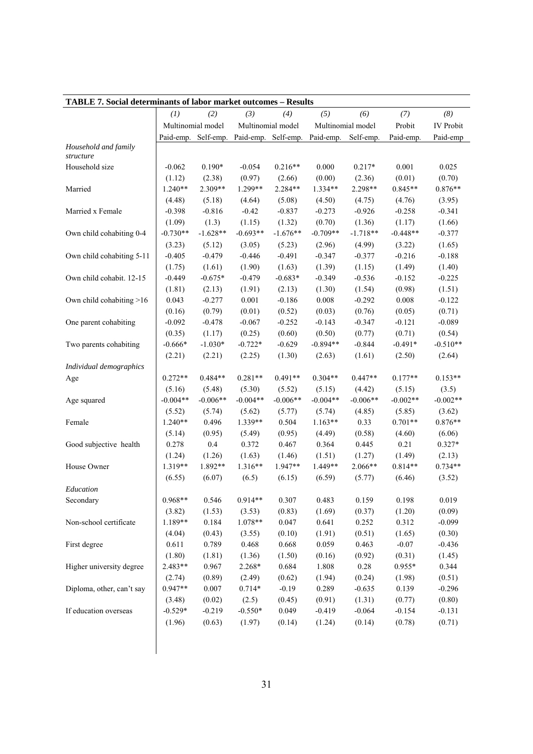| TABLE 7. Social determinants of labor market outcomes - Results |                   |                   |                     |                   |                                                             |                   |                     |                     |
|-----------------------------------------------------------------|-------------------|-------------------|---------------------|-------------------|-------------------------------------------------------------|-------------------|---------------------|---------------------|
|                                                                 | (1)               | (2)               | (3)                 | (4)               | (5)                                                         | (6)               | (7)                 | (8)                 |
|                                                                 |                   | Multinomial model |                     | Multinomial model |                                                             | Multinomial model | Probit              | <b>IV</b> Probit    |
|                                                                 |                   |                   |                     |                   | Paid-emp. Self-emp. Paid-emp. Self-emp. Paid-emp. Self-emp. |                   | Paid-emp.           | Paid-emp            |
| Household and family<br>structure                               |                   |                   |                     |                   |                                                             |                   |                     |                     |
| Household size                                                  | $-0.062$          | $0.190*$          | $-0.054$            | $0.216**$         | 0.000                                                       | $0.217*$          | 0.001               | 0.025               |
|                                                                 | (1.12)            | (2.38)            | (0.97)              | (2.66)            | (0.00)                                                      | (2.36)            | (0.01)              | (0.70)              |
| Married                                                         | $1.240**$         | 2.309**           | 1.299**             | 2.284**           | 1.334**                                                     | 2.298**           | $0.845**$           | $0.876**$           |
|                                                                 | (4.48)            | (5.18)            | (4.64)              | (5.08)            | (4.50)                                                      | (4.75)            | (4.76)              | (3.95)              |
| Married x Female                                                | $-0.398$          | $-0.816$          | $-0.42$             | $-0.837$          | $-0.273$                                                    | $-0.926$          | $-0.258$            | $-0.341$            |
|                                                                 | (1.09)            | (1.3)             | (1.15)              | (1.32)            | (0.70)                                                      | (1.36)            | (1.17)              | (1.66)              |
| Own child cohabiting 0-4                                        | $-0.730**$        | $-1.628**$        | $-0.693**$          | $-1.676**$        | $-0.709**$                                                  | $-1.718**$        | $-0.448**$          | $-0.377$            |
|                                                                 | (3.23)            | (5.12)            | (3.05)              | (5.23)            | (2.96)                                                      | (4.99)            | (3.22)              | (1.65)              |
| Own child cohabiting 5-11                                       | $-0.405$          | $-0.479$          | $-0.446$            | $-0.491$          | $-0.347$                                                    | $-0.377$          | $-0.216$            | $-0.188$            |
|                                                                 | (1.75)            | (1.61)            | (1.90)              | (1.63)            | (1.39)                                                      | (1.15)            | (1.49)              | (1.40)              |
| Own child cohabit. 12-15                                        | $-0.449$          | $-0.675*$         | $-0.479$            | $-0.683*$         | $-0.349$                                                    | $-0.536$          | $-0.152$            | $-0.225$            |
|                                                                 | (1.81)            | (2.13)            | (1.91)              | (2.13)            | (1.30)                                                      | (1.54)            | (0.98)              | (1.51)              |
| Own child cohabiting >16                                        | 0.043             | $-0.277$          | 0.001               | $-0.186$          | 0.008                                                       | $-0.292$          | 0.008               | $-0.122$            |
|                                                                 | (0.16)            | (0.79)            | (0.01)              | (0.52)            | (0.03)                                                      | (0.76)            | (0.05)              | (0.71)              |
| One parent cohabiting                                           | $-0.092$          | $-0.478$          | $-0.067$            | $-0.252$          | $-0.143$                                                    | $-0.347$          | $-0.121$            | $-0.089$            |
|                                                                 | (0.35)            | (1.17)            | (0.25)              | (0.60)            | (0.50)                                                      | (0.77)            | (0.71)              | (0.54)              |
| Two parents cohabiting                                          | $-0.666*$         | $-1.030*$         | $-0.722*$           | $-0.629$          | $-0.894**$                                                  | $-0.844$          | $-0.491*$           | $-0.510**$          |
|                                                                 | (2.21)            | (2.21)            | (2.25)              | (1.30)            | (2.63)                                                      | (1.61)            | (2.50)              | (2.64)              |
| Individual demographics                                         |                   |                   |                     |                   |                                                             |                   |                     |                     |
| Age                                                             | $0.272**$         | $0.484**$         | $0.281**$           | $0.491**$         | $0.304**$                                                   | $0.447**$         | $0.177**$           | $0.153**$           |
|                                                                 | (5.16)            | (5.48)            | (5.30)              | (5.52)            | (5.15)                                                      | (4.42)            | (5.15)              | (3.5)               |
| Age squared                                                     | $-0.004**$        | $-0.006**$        | $-0.004**$          | $-0.006**$        | $-0.004**$                                                  | $-0.006**$        | $-0.002**$          | $-0.002**$          |
|                                                                 | (5.52)            | (5.74)            | (5.62)              | (5.77)            | (5.74)                                                      | (4.85)            | (5.85)              | (3.62)              |
| Female                                                          | $1.240**$         | 0.496             | 1.339**             | 0.504             | $1.163**$                                                   | 0.33              | $0.701**$           | $0.876**$           |
|                                                                 | (5.14)            | (0.95)            | (5.49)              | (0.95)            | (4.49)                                                      | (0.58)            | (4.60)              | (6.06)              |
| Good subjective health                                          | 0.278             | 0.4               | 0.372               | 0.467             | 0.364                                                       | 0.445             | 0.21                | $0.327*$            |
|                                                                 | (1.24)<br>1.319** | (1.26)<br>1.892** | (1.63)<br>$1.316**$ | (1.46)<br>1.947** | (1.51)<br>1.449**                                           | (1.27)<br>2.066** | (1.49)<br>$0.814**$ | (2.13)<br>$0.734**$ |
| House Owner                                                     | (6.55)            | (6.07)            | (6.5)               | (6.15)            | (6.59)                                                      |                   | (6.46)              | (3.52)              |
| Education                                                       |                   |                   |                     |                   |                                                             | (5.77)            |                     |                     |
| Secondary                                                       | $0.968**$         | 0.546             | $0.914**$           | 0.307             | 0.483                                                       | 0.159             | 0.198               | 0.019               |
|                                                                 | (3.82)            | (1.53)            | (3.53)              | (0.83)            | (1.69)                                                      | (0.37)            | (1.20)              | (0.09)              |
| Non-school certificate                                          | 1.189**           | 0.184             | 1.078**             | 0.047             | 0.641                                                       | 0.252             | 0.312               | $-0.099$            |
|                                                                 | (4.04)            | (0.43)            | (3.55)              | (0.10)            | (1.91)                                                      | (0.51)            | (1.65)              | (0.30)              |
| First degree                                                    | 0.611             | 0.789             | 0.468               | 0.668             | 0.059                                                       | 0.463             | $-0.07$             | $-0.436$            |
|                                                                 | (1.80)            | (1.81)            | (1.36)              | (1.50)            | (0.16)                                                      | (0.92)            | (0.31)              | (1.45)              |
| Higher university degree                                        | 2.483**           | 0.967             | 2.268*              | 0.684             | 1.808                                                       | $0.28\,$          | $0.955*$            | 0.344               |
|                                                                 | (2.74)            | (0.89)            | (2.49)              | (0.62)            | (1.94)                                                      | (0.24)            | (1.98)              | (0.51)              |
| Diploma, other, can't say                                       | $0.947**$         | 0.007             | $0.714*$            | $-0.19$           | 0.289                                                       | $-0.635$          | 0.139               | $-0.296$            |
|                                                                 | (3.48)            | (0.02)            | (2.5)               | (0.45)            | (0.91)                                                      | (1.31)            | (0.77)              | (0.80)              |
| If education overseas                                           | $-0.529*$         | $-0.219$          | $-0.550*$           | 0.049             | $-0.419$                                                    | $-0.064$          | $-0.154$            | $-0.131$            |
|                                                                 | (1.96)            | (0.63)            | (1.97)              | (0.14)            | (1.24)                                                      | (0.14)            | (0.78)              | (0.71)              |
|                                                                 |                   |                   |                     |                   |                                                             |                   |                     |                     |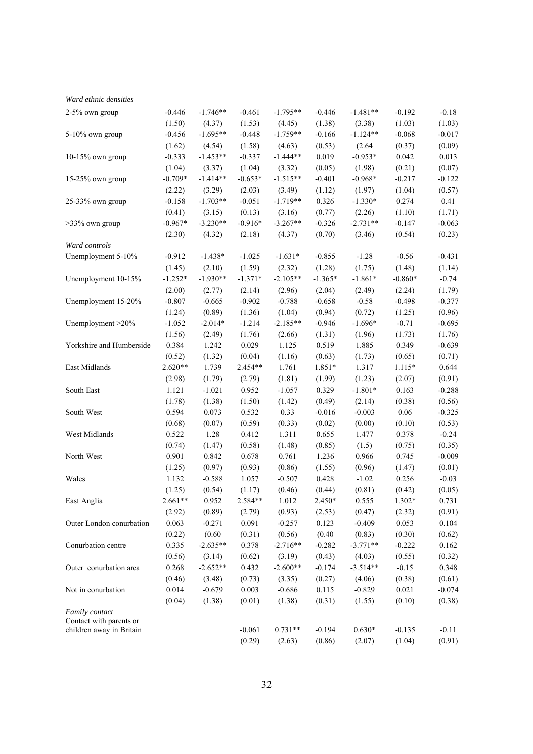| Ward ethnic densities                               |           |            |           |            |           |            |           |          |
|-----------------------------------------------------|-----------|------------|-----------|------------|-----------|------------|-----------|----------|
| 2-5% own group                                      | $-0.446$  | $-1.746**$ | $-0.461$  | $-1.795**$ | $-0.446$  | $-1.481**$ | $-0.192$  | $-0.18$  |
|                                                     | (1.50)    | (4.37)     | (1.53)    | (4.45)     | (1.38)    | (3.38)     | (1.03)    | (1.03)   |
| 5-10% own group                                     | $-0.456$  | $-1.695**$ | $-0.448$  | $-1.759**$ | $-0.166$  | $-1.124**$ | $-0.068$  | $-0.017$ |
|                                                     | (1.62)    | (4.54)     | (1.58)    | (4.63)     | (0.53)    | (2.64)     | (0.37)    | (0.09)   |
| $10-15%$ own group                                  | $-0.333$  | $-1.453**$ | $-0.337$  | $-1.444**$ | 0.019     | $-0.953*$  | 0.042     | 0.013    |
|                                                     | (1.04)    | (3.37)     | (1.04)    | (3.32)     | (0.05)    | (1.98)     | (0.21)    | (0.07)   |
| 15-25% own group                                    | $-0.709*$ | $-1.414**$ | $-0.653*$ | $-1.515**$ | $-0.401$  | $-0.968*$  | $-0.217$  | $-0.122$ |
|                                                     | (2.22)    | (3.29)     | (2.03)    | (3.49)     | (1.12)    | (1.97)     | (1.04)    | (0.57)   |
| 25-33% own group                                    | $-0.158$  | $-1.703**$ | $-0.051$  | $-1.719**$ | 0.326     | $-1.330*$  | 0.274     | 0.41     |
|                                                     | (0.41)    | (3.15)     | (0.13)    | (3.16)     | (0.77)    | (2.26)     | (1.10)    | (1.71)   |
| $>33\%$ own group                                   | $-0.967*$ | $-3.230**$ | $-0.916*$ | $-3.267**$ | $-0.326$  | $-2.731**$ | $-0.147$  | $-0.063$ |
|                                                     | (2.30)    | (4.32)     | (2.18)    | (4.37)     | (0.70)    | (3.46)     | (0.54)    | (0.23)   |
| Ward controls                                       |           |            |           |            |           |            |           |          |
| Unemployment 5-10%                                  | $-0.912$  | $-1.438*$  | $-1.025$  | $-1.631*$  | $-0.855$  | $-1.28$    | $-0.56$   | $-0.431$ |
|                                                     | (1.45)    | (2.10)     | (1.59)    | (2.32)     | (1.28)    | (1.75)     | (1.48)    | (1.14)   |
| Unemployment 10-15%                                 | $-1.252*$ | $-1.930**$ | $-1.371*$ | $-2.105**$ | $-1.365*$ | $-1.861*$  | $-0.860*$ | $-0.74$  |
|                                                     | (2.00)    | (2.77)     | (2.14)    | (2.96)     | (2.04)    | (2.49)     | (2.24)    | (1.79)   |
| Unemployment 15-20%                                 | $-0.807$  | $-0.665$   | $-0.902$  | $-0.788$   | $-0.658$  | $-0.58$    | $-0.498$  | $-0.377$ |
|                                                     | (1.24)    | (0.89)     | (1.36)    | (1.04)     | (0.94)    | (0.72)     | (1.25)    | (0.96)   |
| Unemployment >20%                                   | $-1.052$  | $-2.014*$  | $-1.214$  | $-2.185**$ | $-0.946$  | $-1.696*$  | $-0.71$   | $-0.695$ |
|                                                     | (1.56)    | (2.49)     | (1.76)    | (2.66)     | (1.31)    | (1.96)     | (1.73)    | (1.76)   |
| Yorkshire and Humberside                            | 0.384     | 1.242      | 0.029     | 1.125      | 0.519     | 1.885      | 0.349     | $-0.639$ |
|                                                     | (0.52)    | (1.32)     | (0.04)    | (1.16)     | (0.63)    | (1.73)     | (0.65)    | (0.71)   |
| East Midlands                                       | $2.620**$ | 1.739      | 2.454**   | 1.761      | 1.851*    | 1.317      | $1.115*$  | 0.644    |
|                                                     | (2.98)    | (1.79)     | (2.79)    | (1.81)     | (1.99)    | (1.23)     | (2.07)    | (0.91)   |
| South East                                          | 1.121     | $-1.021$   | 0.952     | $-1.057$   | 0.329     | $-1.801*$  | 0.163     | $-0.288$ |
|                                                     | (1.78)    | (1.38)     | (1.50)    | (1.42)     | (0.49)    | (2.14)     | (0.38)    | (0.56)   |
| South West                                          | 0.594     | 0.073      | 0.532     | 0.33       | $-0.016$  | $-0.003$   | 0.06      | $-0.325$ |
|                                                     |           |            |           |            |           |            |           |          |
|                                                     | (0.68)    | (0.07)     | (0.59)    | (0.33)     | (0.02)    | (0.00)     | (0.10)    | (0.53)   |
| West Midlands                                       | 0.522     | 1.28       | 0.412     | 1.311      | 0.655     | 1.477      | 0.378     | $-0.24$  |
|                                                     | (0.74)    | (1.47)     | (0.58)    | (1.48)     | (0.85)    | (1.5)      | (0.75)    | (0.35)   |
| North West                                          | 0.901     | 0.842      | 0.678     | 0.761      | 1.236     | 0.966      | 0.745     | $-0.009$ |
|                                                     | (1.25)    | (0.97)     | (0.93)    | (0.86)     | (1.55)    | (0.96)     | (1.47)    | (0.01)   |
| Wales                                               | 1.132     | $-0.588$   | 1.057     | $-0.507$   | 0.428     | $-1.02$    | 0.256     | $-0.03$  |
|                                                     | (1.25)    | (0.54)     | (1.17)    | (0.46)     | (0.44)    | (0.81)     | (0.42)    | (0.05)   |
| East Anglia                                         | $2.661**$ | 0.952      | 2.584**   | 1.012      | $2.450*$  | 0.555      | 1.302*    | 0.731    |
|                                                     | (2.92)    | (0.89)     | (2.79)    | (0.93)     | (2.53)    | (0.47)     | (2.32)    | (0.91)   |
| Outer London conurbation                            | 0.063     | $-0.271$   | 0.091     | $-0.257$   | 0.123     | $-0.409$   | 0.053     | 0.104    |
|                                                     | (0.22)    | (0.60)     | (0.31)    | (0.56)     | (0.40)    | (0.83)     | (0.30)    | (0.62)   |
| Conurbation centre                                  | 0.335     | $-2.635**$ | 0.378     | $-2.716**$ | $-0.282$  | $-3.771**$ | $-0.222$  | 0.162    |
|                                                     | (0.56)    | (3.14)     | (0.62)    | (3.19)     | (0.43)    | (4.03)     | (0.55)    | (0.32)   |
| Outer conurbation area                              | 0.268     | $-2.652**$ | 0.432     | $-2.600**$ | $-0.174$  | $-3.514**$ | $-0.15$   | 0.348    |
|                                                     | (0.46)    | (3.48)     | (0.73)    | (3.35)     | (0.27)    | (4.06)     | (0.38)    | (0.61)   |
| Not in conurbation                                  | 0.014     | $-0.679$   | 0.003     | $-0.686$   | 0.115     | $-0.829$   | 0.021     | $-0.074$ |
|                                                     | (0.04)    | (1.38)     | (0.01)    | (1.38)     | (0.31)    | (1.55)     | (0.10)    | (0.38)   |
| Family contact                                      |           |            |           |            |           |            |           |          |
| Contact with parents or<br>children away in Britain |           |            | $-0.061$  | $0.731**$  | $-0.194$  | $0.630*$   | $-0.135$  | $-0.11$  |
|                                                     |           |            | (0.29)    | (2.63)     | (0.86)    | (2.07)     | (1.04)    | (0.91)   |
|                                                     |           |            |           |            |           |            |           |          |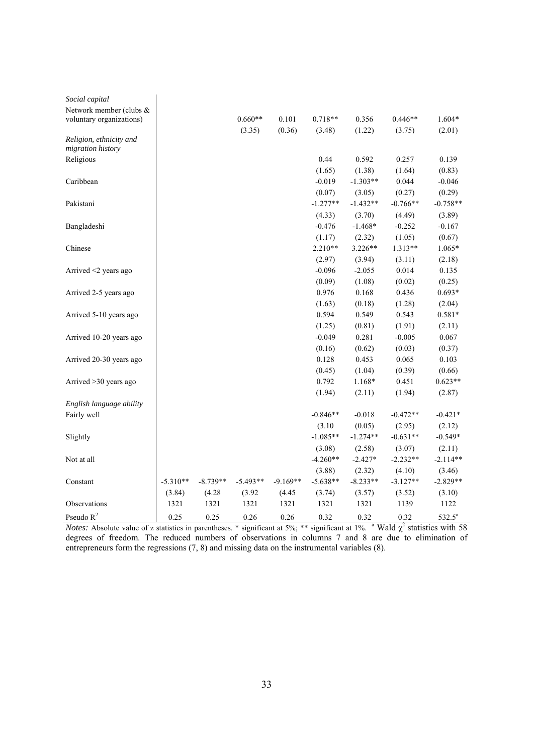| Social capital             |            |            |            |            |            |            |            |            |
|----------------------------|------------|------------|------------|------------|------------|------------|------------|------------|
| Network member (clubs &    |            |            |            |            |            |            |            |            |
| voluntary organizations)   |            |            | $0.660**$  | 0.101      | $0.718**$  | 0.356      | $0.446**$  | $1.604*$   |
|                            |            |            | (3.35)     | (0.36)     | (3.48)     | (1.22)     | (3.75)     | (2.01)     |
| Religion, ethnicity and    |            |            |            |            |            |            |            |            |
| migration history          |            |            |            |            |            |            |            |            |
| Religious                  |            |            |            |            | 0.44       | 0.592      | 0.257      | 0.139      |
|                            |            |            |            |            | (1.65)     | (1.38)     | (1.64)     | (0.83)     |
| Caribbean                  |            |            |            |            | $-0.019$   | $-1.303**$ | 0.044      | $-0.046$   |
|                            |            |            |            |            | (0.07)     | (3.05)     | (0.27)     | (0.29)     |
| Pakistani                  |            |            |            |            | $-1.277**$ | $-1.432**$ | $-0.766**$ | $-0.758**$ |
|                            |            |            |            |            | (4.33)     | (3.70)     | (4.49)     | (3.89)     |
| Bangladeshi                |            |            |            |            | $-0.476$   | $-1.468*$  | $-0.252$   | $-0.167$   |
|                            |            |            |            |            | (1.17)     | (2.32)     | (1.05)     | (0.67)     |
| Chinese                    |            |            |            |            | $2.210**$  | 3.226**    | 1.313**    | 1.065*     |
|                            |            |            |            |            | (2.97)     | (3.94)     | (3.11)     | (2.18)     |
| Arrived $\leq$ 2 years ago |            |            |            |            | $-0.096$   | $-2.055$   | 0.014      | 0.135      |
|                            |            |            |            |            | (0.09)     | (1.08)     | (0.02)     | (0.25)     |
| Arrived 2-5 years ago      |            |            |            |            | 0.976      | 0.168      | 0.436      | $0.693*$   |
|                            |            |            |            |            | (1.63)     | (0.18)     | (1.28)     | (2.04)     |
| Arrived 5-10 years ago     |            |            |            |            | 0.594      | 0.549      | 0.543      | $0.581*$   |
|                            |            |            |            |            | (1.25)     | (0.81)     | (1.91)     | (2.11)     |
| Arrived 10-20 years ago    |            |            |            |            | $-0.049$   | 0.281      | $-0.005$   | 0.067      |
|                            |            |            |            |            | (0.16)     | (0.62)     | (0.03)     | (0.37)     |
| Arrived 20-30 years ago    |            |            |            |            | 0.128      | 0.453      | 0.065      | 0.103      |
|                            |            |            |            |            | (0.45)     | (1.04)     | (0.39)     | (0.66)     |
| Arrived $>30$ years ago    |            |            |            |            | 0.792      | 1.168*     | 0.451      | $0.623**$  |
|                            |            |            |            |            | (1.94)     | (2.11)     | (1.94)     | (2.87)     |
| English language ability   |            |            |            |            |            |            |            |            |
| Fairly well                |            |            |            |            | $-0.846**$ | $-0.018$   | $-0.472**$ | $-0.421*$  |
|                            |            |            |            |            | (3.10)     | (0.05)     | (2.95)     | (2.12)     |
| Slightly                   |            |            |            |            | $-1.085**$ | $-1.274**$ | $-0.631**$ | $-0.549*$  |
|                            |            |            |            |            | (3.08)     | (2.58)     | (3.07)     | (2.11)     |
| Not at all                 |            |            |            |            | $-4.260**$ | $-2.427*$  | $-2.232**$ | $-2.114**$ |
|                            |            |            |            |            | (3.88)     | (2.32)     | (4.10)     | (3.46)     |
| Constant                   | $-5.310**$ | $-8.739**$ | $-5.493**$ | $-9.169**$ | $-5.638**$ | $-8.233**$ | $-3.127**$ | $-2.829**$ |
|                            | (3.84)     | (4.28)     | (3.92)     | (4.45)     | (3.74)     | (3.57)     | (3.52)     | (3.10)     |
| Observations               | 1321       | 1321       | 1321       | 1321       | 1321       | 1321       | 1139       | 1122       |
| Pseudo $R^2$               | 0.25       | 0.25       | 0.26       | 0.26       | 0.32       | 0.32       | 0.32       | $532.5^a$  |

*Notes:* Absolute value of z statistics in parentheses. \* significant at 5%; \*\* significant at 1%. <sup>a</sup> Wald  $\chi^2$  statistics with 58 degrees of freedom. The reduced numbers of observations in columns 7 and 8 are due to elimination of entrepreneurs form the regressions (7, 8) and missing data on the instrumental variables (8).